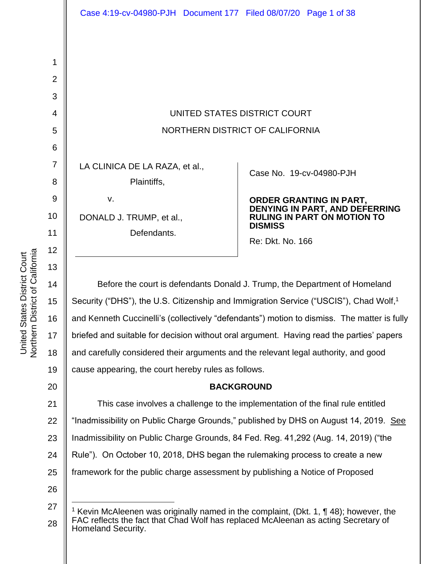UNITED STATES DISTRICT COURT NORTHERN DISTRICT OF CALIFORNIA

LA CLINICA DE LA RAZA, et al.,

Plaintiffs,

DONALD J. TRUMP, et al.,

v.

Defendants.

Case No. [19-cv-04980-PJH](https://ecf.cand.uscourts.gov/cgi-bin/DktRpt.pl?346718) 

**ORDER GRANTING IN PART, DENYING IN PART, AND DEFERRING RULING IN PART ON MOTION TO DISMISS**

Re: Dkt. No. 166

Before the court is defendants Donald J. Trump, the Department of Homeland Security ("DHS"), the U.S. Citizenship and Immigration Service ("USCIS"), Chad Wolf,<sup>1</sup> and Kenneth Cuccinelli's (collectively "defendants") motion to dismiss. The matter is fully briefed and suitable for decision without oral argument. Having read the parties' papers and carefully considered their arguments and the relevant legal authority, and good cause appearing, the court hereby rules as follows.

# **BACKGROUND**

25 This case involves a challenge to the implementation of the final rule entitled "Inadmissibility on Public Charge Grounds," published by DHS on August 14, 2019. See Inadmissibility on Public Charge Grounds, 84 Fed. Reg. 41,292 (Aug. 14, 2019) ("the Rule"). On October 10, 2018, DHS began the rulemaking process to create a new framework for the public charge assessment by publishing a Notice of Proposed

26

Northern District of California Northern District of California United States District Court United States District Court

1

2

3

4

5

6

7

8

9

10

11

12

<sup>27</sup> Kevin McAleenen was originally named in the complaint, (Dkt. 1,  $\P$  48); however, the FAC reflects the fact that Chad Wolf has replaced McAleenan as acting Secretary of Homeland Security.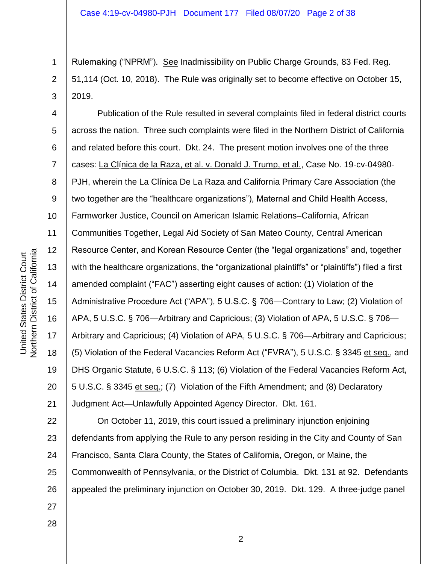2 3 Rulemaking ("NPRM"). See Inadmissibility on Public Charge Grounds, 83 Fed. Reg. 51,114 (Oct. 10, 2018). The Rule was originally set to become effective on October 15, 2019.

4 5 6 7 8 9 10 11 12 13 14 15 16 17 18 19 20 21 Publication of the Rule resulted in several complaints filed in federal district courts across the nation. Three such complaints were filed in the Northern District of California and related before this court. Dkt. 24. The present motion involves one of the three cases: La Clínica de la Raza, et al. v. Donald J. Trump, et al., Case No. 19-cv-04980- PJH, wherein the La Clínica De La Raza and California Primary Care Association (the two together are the "healthcare organizations"), Maternal and Child Health Access, Farmworker Justice, Council on American Islamic Relations–California, African Communities Together, Legal Aid Society of San Mateo County, Central American Resource Center, and Korean Resource Center (the "legal organizations" and, together with the healthcare organizations, the "organizational plaintiffs" or "plaintiffs") filed a first amended complaint ("FAC") asserting eight causes of action: (1) Violation of the Administrative Procedure Act ("APA"), 5 U.S.C. § 706—Contrary to Law; (2) Violation of APA, 5 U.S.C. § 706—Arbitrary and Capricious; (3) Violation of APA, 5 U.S.C. § 706— Arbitrary and Capricious; (4) Violation of APA, 5 U.S.C. § 706—Arbitrary and Capricious; (5) Violation of the Federal Vacancies Reform Act ("FVRA"), 5 U.S.C. § 3345 et seq., and DHS Organic Statute, 6 U.S.C. § 113; (6) Violation of the Federal Vacancies Reform Act, 5 U.S.C. § 3345 et seq.; (7) Violation of the Fifth Amendment; and (8) Declaratory Judgment Act—Unlawfully Appointed Agency Director. Dkt. 161.

22 23 24 25 26 27 On October 11, 2019, this court issued a preliminary injunction enjoining defendants from applying the Rule to any person residing in the City and County of San Francisco, Santa Clara County, the States of California, Oregon, or Maine, the Commonwealth of Pennsylvania, or the District of Columbia. Dkt. 131 at 92. Defendants appealed the preliminary injunction on October 30, 2019. Dkt. 129. A three-judge panel

28

1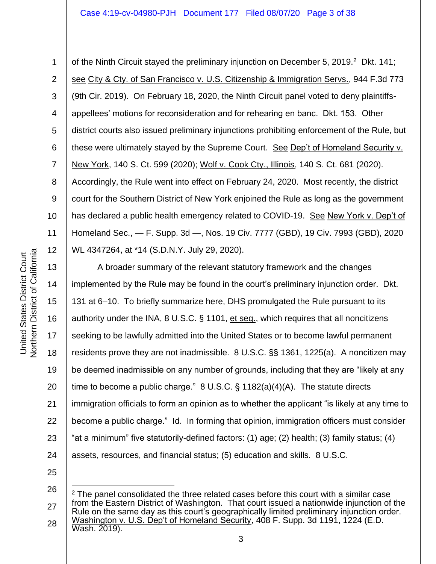1 3 4 5 6 7 8 9 10 11 12 of the Ninth Circuit stayed the preliminary injunction on December 5, 2019.<sup>2</sup> Dkt. 141; see City & Cty. of San Francisco v. U.S. Citizenship & Immigration Servs., 944 F.3d 773 (9th Cir. 2019). On February 18, 2020, the Ninth Circuit panel voted to deny plaintiffsappellees' motions for reconsideration and for rehearing en banc. Dkt. 153. Other district courts also issued preliminary injunctions prohibiting enforcement of the Rule, but these were ultimately stayed by the Supreme Court. See Dep't of Homeland Security v. New York, 140 S. Ct. 599 (2020); Wolf v. Cook Cty., Illinois, 140 S. Ct. 681 (2020). Accordingly, the Rule went into effect on February 24, 2020. Most recently, the district court for the Southern District of New York enjoined the Rule as long as the government has declared a public health emergency related to COVID-19. See New York v. Dep't of Homeland Sec., — F. Supp. 3d —, Nos. 19 Civ. 7777 (GBD), 19 Civ. 7993 (GBD), 2020 WL 4347264, at \*14 (S.D.N.Y. July 29, 2020).

13 14 15 16 17 18 19 20 21 22 23 24 A broader summary of the relevant statutory framework and the changes implemented by the Rule may be found in the court's preliminary injunction order. Dkt. 131 at 6–10. To briefly summarize here, DHS promulgated the Rule pursuant to its authority under the INA, 8 U.S.C. § 1101, et seq., which requires that all noncitizens seeking to be lawfully admitted into the United States or to become lawful permanent residents prove they are not inadmissible. 8 U.S.C. §§ 1361, 1225(a). A noncitizen may be deemed inadmissible on any number of grounds, including that they are "likely at any time to become a public charge." 8 U.S.C. § 1182(a)(4)(A). The statute directs immigration officials to form an opinion as to whether the applicant "is likely at any time to become a public charge." Id. In forming that opinion, immigration officers must consider "at a minimum" five statutorily-defined factors: (1) age; (2) health; (3) family status; (4) assets, resources, and financial status; (5) education and skills. 8 U.S.C.

<sup>26</sup> 27 28  $2$  The panel consolidated the three related cases before this court with a similar case from the Eastern District of Washington. That court issued a nationwide injunction of the Rule on the same day as this court's geographically limited preliminary injunction order. Washington v. U.S. Dep't of Homeland Security, 408 F. Supp. 3d 1191, 1224 (E.D. Wash. 2019).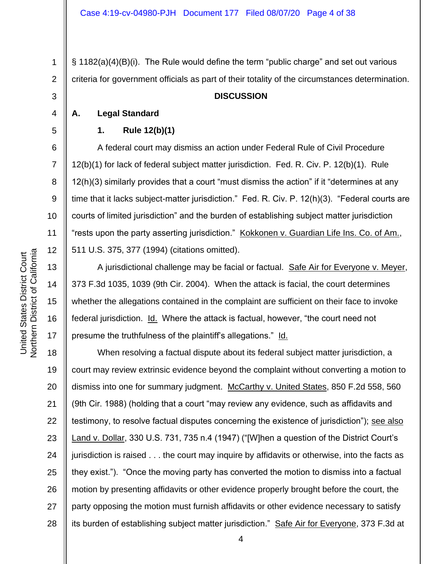§ 1182(a)(4)(B)(i). The Rule would define the term "public charge" and set out various criteria for government officials as part of their totality of the circumstances determination.

## **DISCUSSION**

**A. Legal Standard**

1

2

3

4

5

6

7

8

9

10

11

12

13

14

15

16

17

## **1. Rule 12(b)(1)**

A federal court may dismiss an action under Federal Rule of Civil Procedure 12(b)(1) for lack of federal subject matter jurisdiction. Fed. R. Civ. P. 12(b)(1). Rule 12(h)(3) similarly provides that a court "must dismiss the action" if it "determines at any time that it lacks subject-matter jurisdiction." Fed. R. Civ. P. 12(h)(3). "Federal courts are courts of limited jurisdiction" and the burden of establishing subject matter jurisdiction "rests upon the party asserting jurisdiction." Kokkonen v. Guardian Life Ins. Co. of Am., 511 U.S. 375, 377 (1994) (citations omitted).

A jurisdictional challenge may be facial or factual. Safe Air for Everyone v. Meyer, 373 F.3d 1035, 1039 (9th Cir. 2004). When the attack is facial, the court determines whether the allegations contained in the complaint are sufficient on their face to invoke federal jurisdiction. Id. Where the attack is factual, however, "the court need not presume the truthfulness of the plaintiff's allegations." Id.

18 19 20 21 22 23 24 25 26 27 28 When resolving a factual dispute about its federal subject matter jurisdiction, a court may review extrinsic evidence beyond the complaint without converting a motion to dismiss into one for summary judgment. McCarthy v. United States, 850 F.2d 558, 560 (9th Cir. 1988) (holding that a court "may review any evidence, such as affidavits and testimony, to resolve factual disputes concerning the existence of jurisdiction"); see also Land v. Dollar, 330 U.S. 731, 735 n.4 (1947) ("[W]hen a question of the District Court's jurisdiction is raised . . . the court may inquire by affidavits or otherwise, into the facts as they exist."). "Once the moving party has converted the motion to dismiss into a factual motion by presenting affidavits or other evidence properly brought before the court, the party opposing the motion must furnish affidavits or other evidence necessary to satisfy its burden of establishing subject matter jurisdiction." Safe Air for Everyone, 373 F.3d at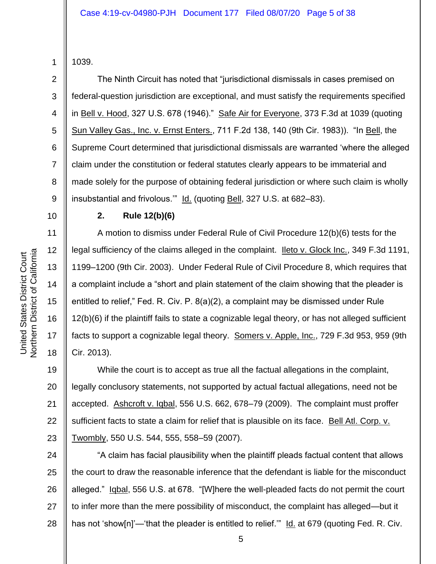2

3

4

5

6

7

8

9

10

11

12

13

14

15

16

17

18

1039.

The Ninth Circuit has noted that "jurisdictional dismissals in cases premised on federal-question jurisdiction are exceptional, and must satisfy the requirements specified in Bell v. Hood, 327 U.S. 678 (1946)." Safe Air for Everyone, 373 F.3d at 1039 (quoting Sun Valley Gas., Inc. v. Ernst Enters., 711 F.2d 138, 140 (9th Cir. 1983)). "In Bell, the Supreme Court determined that jurisdictional dismissals are warranted 'where the alleged claim under the constitution or federal statutes clearly appears to be immaterial and made solely for the purpose of obtaining federal jurisdiction or where such claim is wholly insubstantial and frivolous." Id. (quoting Bell, 327 U.S. at 682–83).

## **2. Rule 12(b)(6)**

A motion to dismiss under Federal Rule of Civil Procedure 12(b)(6) tests for the legal sufficiency of the claims alleged in the complaint. Ileto v. Glock Inc., 349 F.3d 1191, 1199–1200 (9th Cir. 2003). Under Federal Rule of Civil Procedure 8, which requires that a complaint include a "short and plain statement of the claim showing that the pleader is entitled to relief," Fed. R. Civ. P. 8(a)(2), a complaint may be dismissed under Rule 12(b)(6) if the plaintiff fails to state a cognizable legal theory, or has not alleged sufficient facts to support a cognizable legal theory. Somers v. Apple, Inc., 729 F.3d 953, 959 (9th Cir. 2013).

19 20 21 22 23 While the court is to accept as true all the factual allegations in the complaint, legally conclusory statements, not supported by actual factual allegations, need not be accepted. Ashcroft v. Iqbal, 556 U.S. 662, 678–79 (2009). The complaint must proffer sufficient facts to state a claim for relief that is plausible on its face. Bell Atl. Corp. v. Twombly, 550 U.S. 544, 555, 558–59 (2007).

24 25 26 27 28 "A claim has facial plausibility when the plaintiff pleads factual content that allows the court to draw the reasonable inference that the defendant is liable for the misconduct alleged." Iqbal, 556 U.S. at 678. "[W]here the well-pleaded facts do not permit the court to infer more than the mere possibility of misconduct, the complaint has alleged—but it has not 'show[n]'—'that the pleader is entitled to relief."" Id. at 679 (quoting Fed. R. Civ.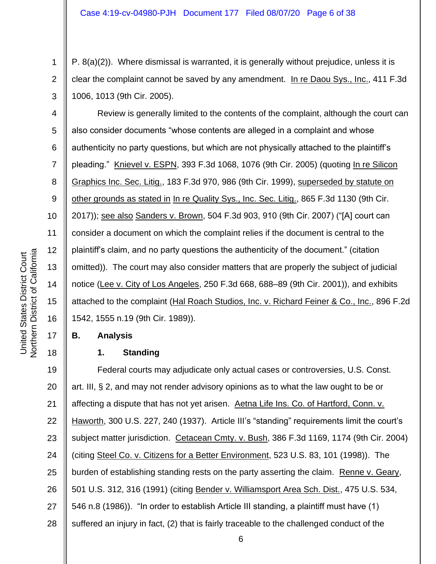P. 8(a)(2)). Where dismissal is warranted, it is generally without prejudice, unless it is clear the complaint cannot be saved by any amendment. In re Daou Sys., Inc., 411 F.3d 1006, 1013 (9th Cir. 2005).

4 5 6 7 8 9 10 11 12 13 14 15 16 Review is generally limited to the contents of the complaint, although the court can also consider documents "whose contents are alleged in a complaint and whose authenticity no party questions, but which are not physically attached to the plaintiff's pleading." Knievel v. ESPN, 393 F.3d 1068, 1076 (9th Cir. 2005) (quoting In re Silicon Graphics Inc. Sec. Litig., 183 F.3d 970, 986 (9th Cir. 1999), superseded by statute on other grounds as stated in In re Quality Sys., Inc. Sec. Litig., 865 F.3d 1130 (9th Cir. 2017)); see also Sanders v. Brown, 504 F.3d 903, 910 (9th Cir. 2007) ("[A] court can consider a document on which the complaint relies if the document is central to the plaintiff's claim, and no party questions the authenticity of the document." (citation omitted)). The court may also consider matters that are properly the subject of judicial notice (Lee v. City of Los Angeles, 250 F.3d 668, 688–89 (9th Cir. 2001)), and exhibits attached to the complaint (Hal Roach Studios, Inc. v. Richard Feiner & Co., Inc., 896 F.2d 1542, 1555 n.19 (9th Cir. 1989)).

# **B. Analysis**

# **1. Standing**

19 20 21 22 23 24 25 26 27 28 Federal courts may adjudicate only actual cases or controversies, U.S. Const. art. III, § 2, and may not render advisory opinions as to what the law ought to be or affecting a dispute that has not yet arisen. Aetna Life Ins. Co. of Hartford, Conn. v. Haworth, 300 U.S. 227, 240 (1937). Article III's "standing" requirements limit the court's subject matter jurisdiction. Cetacean Cmty. v. Bush, 386 F.3d 1169, 1174 (9th Cir. 2004) (citing Steel Co. v. Citizens for a Better Environment, 523 U.S. 83, 101 (1998)). The burden of establishing standing rests on the party asserting the claim. Renne v. Geary, 501 U.S. 312, 316 (1991) (citing Bender v. Williamsport Area Sch. Dist., 475 U.S. 534, 546 n.8 (1986)). "In order to establish Article III standing, a plaintiff must have (1) suffered an injury in fact, (2) that is fairly traceable to the challenged conduct of the

17

18

1

2

3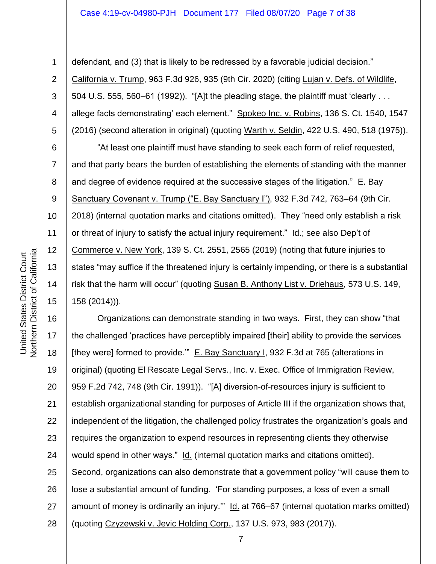## Case 4:19-cv-04980-PJH Document 177 Filed 08/07/20 Page 7 of 38

2

3

4

5

6

7

8

9

10

11

12

13

14

15

1

defendant, and (3) that is likely to be redressed by a favorable judicial decision." California v. Trump, 963 F.3d 926, 935 (9th Cir. 2020) (citing Lujan v. Defs. of Wildlife, 504 U.S. 555, 560–61 (1992)). "[A]t the pleading stage, the plaintiff must 'clearly . . . allege facts demonstrating' each element." Spokeo Inc. v. Robins, 136 S. Ct. 1540, 1547 (2016) (second alteration in original) (quoting Warth v. Seldin, 422 U.S. 490, 518 (1975)).

"At least one plaintiff must have standing to seek each form of relief requested, and that party bears the burden of establishing the elements of standing with the manner and degree of evidence required at the successive stages of the litigation." E. Bay Sanctuary Covenant v. Trump ("E. Bay Sanctuary I"), 932 F.3d 742, 763–64 (9th Cir. 2018) (internal quotation marks and citations omitted). They "need only establish a risk or threat of injury to satisfy the actual injury requirement." Id.; see also Dep't of Commerce v. New York, 139 S. Ct. 2551, 2565 (2019) (noting that future injuries to states "may suffice if the threatened injury is certainly impending, or there is a substantial risk that the harm will occur" (quoting Susan B. Anthony List v. Driehaus, 573 U.S. 149, 158 (2014))).

16 17 18 19 20 21 22 23 24 25 26 27 28 Organizations can demonstrate standing in two ways. First, they can show "that the challenged 'practices have perceptibly impaired [their] ability to provide the services [they were] formed to provide.'" E. Bay Sanctuary I, 932 F.3d at 765 (alterations in original) (quoting El Rescate Legal Servs., Inc. v. Exec. Office of Immigration Review, 959 F.2d 742, 748 (9th Cir. 1991)). "[A] diversion-of-resources injury is sufficient to establish organizational standing for purposes of Article III if the organization shows that, independent of the litigation, the challenged policy frustrates the organization's goals and requires the organization to expend resources in representing clients they otherwise would spend in other ways." Id. (internal quotation marks and citations omitted). Second, organizations can also demonstrate that a government policy "will cause them to lose a substantial amount of funding. 'For standing purposes, a loss of even a small amount of money is ordinarily an injury.'" Id. at 766–67 (internal quotation marks omitted) (quoting Czyzewski v. Jevic Holding Corp., 137 U.S. 973, 983 (2017)).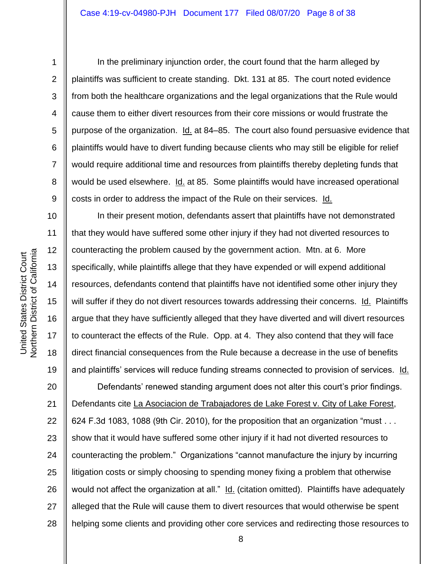**Northern District of California** Northern District of California United States District Court United States District Court

1

2

3

4

5

6

7

8

9

10

11

12

13

14

15

16

17

18

19

In the preliminary injunction order, the court found that the harm alleged by plaintiffs was sufficient to create standing. Dkt. 131 at 85. The court noted evidence from both the healthcare organizations and the legal organizations that the Rule would cause them to either divert resources from their core missions or would frustrate the purpose of the organization. Id. at 84–85. The court also found persuasive evidence that plaintiffs would have to divert funding because clients who may still be eligible for relief would require additional time and resources from plaintiffs thereby depleting funds that would be used elsewhere. Id. at 85. Some plaintiffs would have increased operational costs in order to address the impact of the Rule on their services. Id.

In their present motion, defendants assert that plaintiffs have not demonstrated that they would have suffered some other injury if they had not diverted resources to counteracting the problem caused by the government action. Mtn. at 6. More specifically, while plaintiffs allege that they have expended or will expend additional resources, defendants contend that plaintiffs have not identified some other injury they will suffer if they do not divert resources towards addressing their concerns. Id. Plaintiffs argue that they have sufficiently alleged that they have diverted and will divert resources to counteract the effects of the Rule. Opp. at 4. They also contend that they will face direct financial consequences from the Rule because a decrease in the use of benefits and plaintiffs' services will reduce funding streams connected to provision of services. Id.

20 21 22 23 24 25 26 27 28 Defendants' renewed standing argument does not alter this court's prior findings. Defendants cite La Asociacion de Trabajadores de Lake Forest v. City of Lake Forest, 624 F.3d 1083, 1088 (9th Cir. 2010), for the proposition that an organization "must . . . show that it would have suffered some other injury if it had not diverted resources to counteracting the problem." Organizations "cannot manufacture the injury by incurring litigation costs or simply choosing to spending money fixing a problem that otherwise would not affect the organization at all." Id. (citation omitted). Plaintiffs have adequately alleged that the Rule will cause them to divert resources that would otherwise be spent helping some clients and providing other core services and redirecting those resources to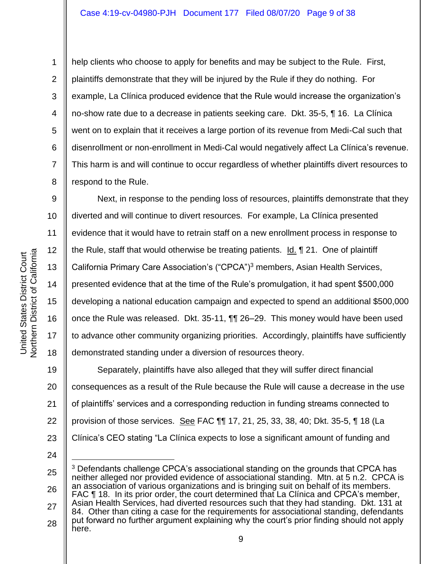8

9

11

17

1

help clients who choose to apply for benefits and may be subject to the Rule. First, plaintiffs demonstrate that they will be injured by the Rule if they do nothing. For example, La Clínica produced evidence that the Rule would increase the organization's no-show rate due to a decrease in patients seeking care. Dkt. 35-5, ¶ 16. La Clínica went on to explain that it receives a large portion of its revenue from Medi-Cal such that disenrollment or non-enrollment in Medi-Cal would negatively affect La Clínica's revenue. This harm is and will continue to occur regardless of whether plaintiffs divert resources to respond to the Rule.

10 12 13 14 15 16 18 Next, in response to the pending loss of resources, plaintiffs demonstrate that they diverted and will continue to divert resources. For example, La Clínica presented evidence that it would have to retrain staff on a new enrollment process in response to the Rule, staff that would otherwise be treating patients.  $Id. \parallel 21$ . One of plaintiff California Primary Care Association's ("CPCA")<sup>3</sup> members, Asian Health Services, presented evidence that at the time of the Rule's promulgation, it had spent \$500,000 developing a national education campaign and expected to spend an additional \$500,000 once the Rule was released. Dkt. 35-11, ¶¶ 26–29. This money would have been used to advance other community organizing priorities. Accordingly, plaintiffs have sufficiently demonstrated standing under a diversion of resources theory.

19 20 21 22 23 Separately, plaintiffs have also alleged that they will suffer direct financial consequences as a result of the Rule because the Rule will cause a decrease in the use of plaintiffs' services and a corresponding reduction in funding streams connected to provision of those services. See FAC ¶¶ 17, 21, 25, 33, 38, 40; Dkt. 35-5, ¶ 18 (La Clínica's CEO stating "La Clínica expects to lose a significant amount of funding and

24

<sup>25</sup> 26 27 28 <sup>3</sup> Defendants challenge CPCA's associational standing on the grounds that CPCA has neither alleged nor provided evidence of associational standing. Mtn. at 5 n.2. CPCA is an association of various organizations and is bringing suit on behalf of its members. FAC ¶ 18. In its prior order, the court determined that La Clínica and CPCA's member, Asian Health Services, had diverted resources such that they had standing. Dkt. 131 at 84. Other than citing a case for the requirements for associational standing, defendants put forward no further argument explaining why the court's prior finding should not apply here.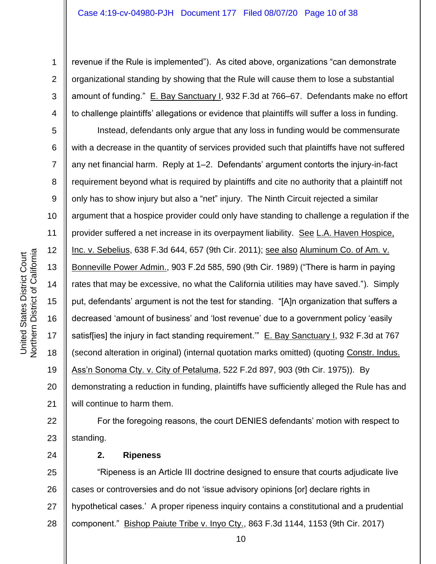Northern District of California Northern District of California

United States District Court

United States District Court

24

1

2

3

4

revenue if the Rule is implemented"). As cited above, organizations "can demonstrate organizational standing by showing that the Rule will cause them to lose a substantial amount of funding." E. Bay Sanctuary I, 932 F.3d at 766–67. Defendants make no effort to challenge plaintiffs' allegations or evidence that plaintiffs will suffer a loss in funding.

5 6 7 8 9 10 11 12 13 14 15 16 17 18 19 20 21 Instead, defendants only argue that any loss in funding would be commensurate with a decrease in the quantity of services provided such that plaintiffs have not suffered any net financial harm. Reply at 1–2. Defendants' argument contorts the injury-in-fact requirement beyond what is required by plaintiffs and cite no authority that a plaintiff not only has to show injury but also a "net" injury. The Ninth Circuit rejected a similar argument that a hospice provider could only have standing to challenge a regulation if the provider suffered a net increase in its overpayment liability. See L.A. Haven Hospice, Inc. v. Sebelius, 638 F.3d 644, 657 (9th Cir. 2011); see also Aluminum Co. of Am. v. Bonneville Power Admin., 903 F.2d 585, 590 (9th Cir. 1989) ("There is harm in paying rates that may be excessive, no what the California utilities may have saved."). Simply put, defendants' argument is not the test for standing. "[A]n organization that suffers a decreased 'amount of business' and 'lost revenue' due to a government policy 'easily satisf[ies] the injury in fact standing requirement." E. Bay Sanctuary I, 932 F.3d at 767 (second alteration in original) (internal quotation marks omitted) (quoting Constr. Indus. Ass'n Sonoma Cty. v. City of Petaluma, 522 F.2d 897, 903 (9th Cir. 1975)). By demonstrating a reduction in funding, plaintiffs have sufficiently alleged the Rule has and will continue to harm them.

22 23 For the foregoing reasons, the court DENIES defendants' motion with respect to standing.

**2. Ripeness**

25 26 27 28 "Ripeness is an Article III doctrine designed to ensure that courts adjudicate live cases or controversies and do not 'issue advisory opinions [or] declare rights in hypothetical cases.' A proper ripeness inquiry contains a constitutional and a prudential component." Bishop Paiute Tribe v. Inyo Cty., 863 F.3d 1144, 1153 (9th Cir. 2017)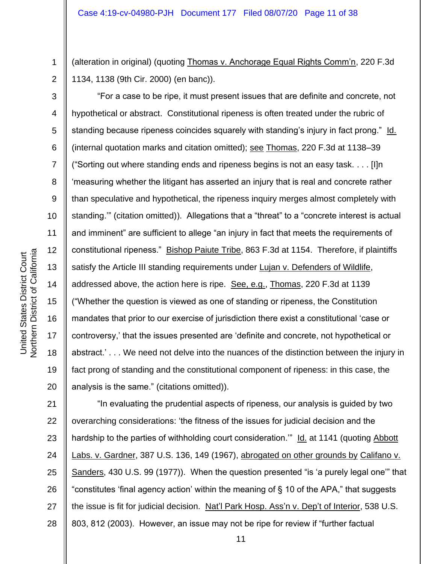(alteration in original) (quoting Thomas v. Anchorage Equal Rights Comm'n, 220 F.3d 1134, 1138 (9th Cir. 2000) (en banc)).

"For a case to be ripe, it must present issues that are definite and concrete, not hypothetical or abstract. Constitutional ripeness is often treated under the rubric of standing because ripeness coincides squarely with standing's injury in fact prong." Id. (internal quotation marks and citation omitted); see Thomas, 220 F.3d at 1138–39 ("Sorting out where standing ends and ripeness begins is not an easy task. . . . [I]n 'measuring whether the litigant has asserted an injury that is real and concrete rather than speculative and hypothetical, the ripeness inquiry merges almost completely with standing.'" (citation omitted)). Allegations that a "threat" to a "concrete interest is actual and imminent" are sufficient to allege "an injury in fact that meets the requirements of constitutional ripeness." Bishop Paiute Tribe, 863 F.3d at 1154. Therefore, if plaintiffs satisfy the Article III standing requirements under Lujan v. Defenders of Wildlife, addressed above, the action here is ripe. See, e.g., Thomas, 220 F.3d at 1139 ("Whether the question is viewed as one of standing or ripeness, the Constitution mandates that prior to our exercise of jurisdiction there exist a constitutional 'case or controversy,' that the issues presented are 'definite and concrete, not hypothetical or abstract.' . . . We need not delve into the nuances of the distinction between the injury in fact prong of standing and the constitutional component of ripeness: in this case, the analysis is the same." (citations omitted)).

21 22 23 24 25 26 27 28 "In evaluating the prudential aspects of ripeness, our analysis is guided by two overarching considerations: 'the fitness of the issues for judicial decision and the hardship to the parties of withholding court consideration." Id. at 1141 (quoting Abbott Labs. v. Gardner, 387 U.S. 136, 149 (1967), abrogated on other grounds by Califano v. Sanders, 430 U.S. 99 (1977)). When the question presented "is 'a purely legal one'" that "constitutes 'final agency action' within the meaning of § 10 of the APA," that suggests the issue is fit for judicial decision. Nat'l Park Hosp. Ass'n v. Dep't of Interior, 538 U.S. 803, 812 (2003). However, an issue may not be ripe for review if "further factual

1

2

3

4

5

6

7

8

9

10

11

12

13

14

15

16

17

18

19

20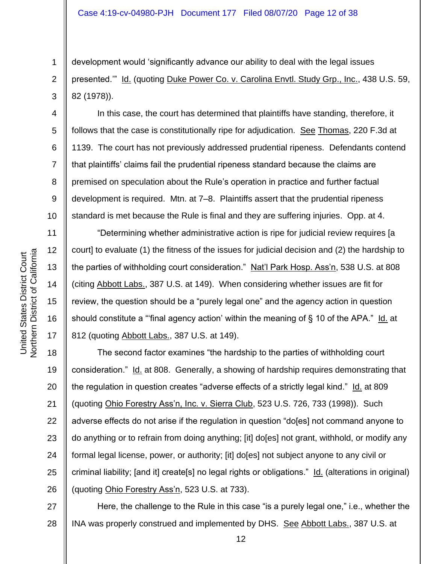development would 'significantly advance our ability to deal with the legal issues presented.'" Id. (quoting Duke Power Co. v. Carolina Envtl. Study Grp., Inc., 438 U.S. 59, 82 (1978)).

In this case, the court has determined that plaintiffs have standing, therefore, it follows that the case is constitutionally ripe for adjudication. See Thomas, 220 F.3d at 1139. The court has not previously addressed prudential ripeness. Defendants contend that plaintiffs' claims fail the prudential ripeness standard because the claims are premised on speculation about the Rule's operation in practice and further factual development is required. Mtn. at 7–8. Plaintiffs assert that the prudential ripeness standard is met because the Rule is final and they are suffering injuries. Opp. at 4.

"Determining whether administrative action is ripe for judicial review requires [a court] to evaluate (1) the fitness of the issues for judicial decision and (2) the hardship to the parties of withholding court consideration." Nat'l Park Hosp. Ass'n, 538 U.S. at 808 (citing Abbott Labs., 387 U.S. at 149). When considering whether issues are fit for review, the question should be a "purely legal one" and the agency action in question should constitute a "'final agency action' within the meaning of § 10 of the APA." Id. at 812 (quoting Abbott Labs., 387 U.S. at 149).

18 19 20 21 22 23 24 25 26 The second factor examines "the hardship to the parties of withholding court consideration." Id. at 808. Generally, a showing of hardship requires demonstrating that the regulation in question creates "adverse effects of a strictly legal kind." Id. at 809 (quoting Ohio Forestry Ass'n, Inc. v. Sierra Club, 523 U.S. 726, 733 (1998)). Such adverse effects do not arise if the regulation in question "do[es] not command anyone to do anything or to refrain from doing anything; [it] do[es] not grant, withhold, or modify any formal legal license, power, or authority; [it] do[es] not subject anyone to any civil or criminal liability; [and it] create[s] no legal rights or obligations." Id. (alterations in original) (quoting Ohio Forestry Ass'n, 523 U.S. at 733).

27 28 Here, the challenge to the Rule in this case "is a purely legal one," i.e., whether the INA was properly construed and implemented by DHS. See Abbott Labs., 387 U.S. at

1

2

3

4

5

6

7

8

9

10

11

12

13

14

15

16

17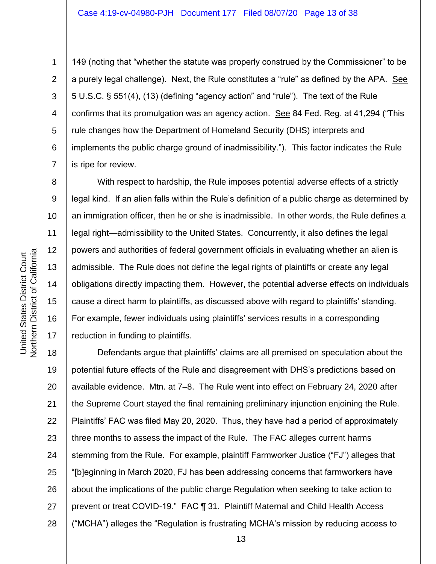9

10

11

12

13

14

15

16

17

1

149 (noting that "whether the statute was properly construed by the Commissioner" to be a purely legal challenge). Next, the Rule constitutes a "rule" as defined by the APA. See 5 U.S.C. § 551(4), (13) (defining "agency action" and "rule"). The text of the Rule confirms that its promulgation was an agency action. See 84 Fed. Reg. at 41,294 ("This rule changes how the Department of Homeland Security (DHS) interprets and implements the public charge ground of inadmissibility."). This factor indicates the Rule is ripe for review.

With respect to hardship, the Rule imposes potential adverse effects of a strictly legal kind. If an alien falls within the Rule's definition of a public charge as determined by an immigration officer, then he or she is inadmissible. In other words, the Rule defines a legal right—admissibility to the United States. Concurrently, it also defines the legal powers and authorities of federal government officials in evaluating whether an alien is admissible. The Rule does not define the legal rights of plaintiffs or create any legal obligations directly impacting them. However, the potential adverse effects on individuals cause a direct harm to plaintiffs, as discussed above with regard to plaintiffs' standing. For example, fewer individuals using plaintiffs' services results in a corresponding reduction in funding to plaintiffs.

18 19 20 21 22 23 24 25 26 27 28 Defendants argue that plaintiffs' claims are all premised on speculation about the potential future effects of the Rule and disagreement with DHS's predictions based on available evidence. Mtn. at 7–8. The Rule went into effect on February 24, 2020 after the Supreme Court stayed the final remaining preliminary injunction enjoining the Rule. Plaintiffs' FAC was filed May 20, 2020. Thus, they have had a period of approximately three months to assess the impact of the Rule. The FAC alleges current harms stemming from the Rule. For example, plaintiff Farmworker Justice ("FJ") alleges that "[b]eginning in March 2020, FJ has been addressing concerns that farmworkers have about the implications of the public charge Regulation when seeking to take action to prevent or treat COVID-19." FAC ¶ 31. Plaintiff Maternal and Child Health Access ("MCHA") alleges the "Regulation is frustrating MCHA's mission by reducing access to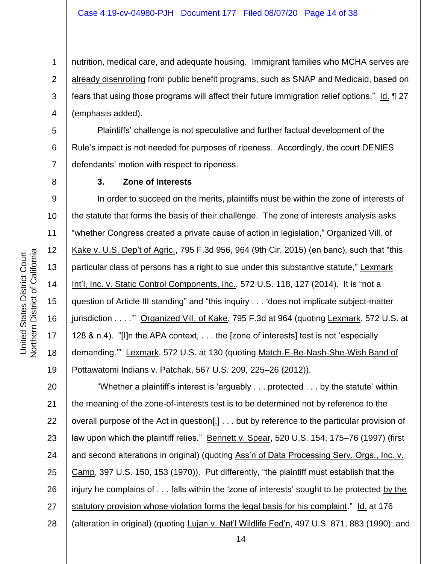1 2 3 4 nutrition, medical care, and adequate housing. Immigrant families who MCHA serves are already disenrolling from public benefit programs, such as SNAP and Medicaid, based on fears that using those programs will affect their future immigration relief options." Id. 127 (emphasis added).

5 6 7 Plaintiffs' challenge is not speculative and further factual development of the Rule's impact is not needed for purposes of ripeness. Accordingly, the court DENIES defendants' motion with respect to ripeness.

## **3. Zone of Interests**

9 10 11 12 13 14 15 16 17 18 19 In order to succeed on the merits, plaintiffs must be within the zone of interests of the statute that forms the basis of their challenge. The zone of interests analysis asks "whether Congress created a private cause of action in legislation," Organized Vill. of Kake v. U.S. Dep't of Agric., 795 F.3d 956, 964 (9th Cir. 2015) (en banc), such that "this particular class of persons has a right to sue under this substantive statute," Lexmark Int'l, Inc. v. Static Control Components, Inc., 572 U.S. 118, 127 (2014). It is "not a question of Article III standing" and "this inquiry . . . 'does not implicate subject-matter jurisdiction . . . .'" Organized Vill. of Kake, 795 F.3d at 964 (quoting Lexmark, 572 U.S. at 128 & n.4). "[I]n the APA context, . . . the [zone of interests] test is not 'especially demanding.'" Lexmark, 572 U.S. at 130 (quoting Match-E-Be-Nash-She-Wish Band of Pottawatomi Indians v. Patchak, 567 U.S. 209, 225–26 (2012)).

20 21 22 23 24 25 26 27 28 "Whether a plaintiff's interest is 'arguably . . . protected . . . by the statute' within the meaning of the zone-of-interests test is to be determined not by reference to the overall purpose of the Act in question[,] . . . but by reference to the particular provision of law upon which the plaintiff relies." Bennett v. Spear, 520 U.S. 154, 175–76 (1997) (first and second alterations in original) (quoting Ass'n of Data Processing Serv. Orgs., Inc. v. Camp, 397 U.S. 150, 153 (1970)). Put differently, "the plaintiff must establish that the injury he complains of . . . falls within the 'zone of interests' sought to be protected by the statutory provision whose violation forms the legal basis for his complaint." Id. at 176 (alteration in original) (quoting Lujan v. Nat'l Wildlife Fed'n, 497 U.S. 871, 883 (1990); and

8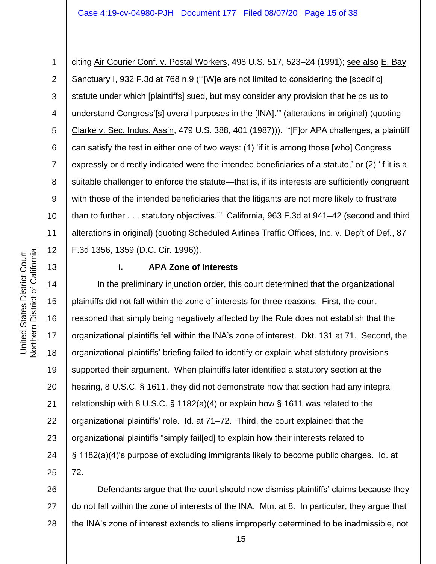1 2 3 4 5 6 7 8 9 10 11 12 citing Air Courier Conf. v. Postal Workers, 498 U.S. 517, 523–24 (1991); see also E. Bay Sanctuary I, 932 F.3d at 768 n.9 ("'[W]e are not limited to considering the [specific] statute under which [plaintiffs] sued, but may consider any provision that helps us to understand Congress'[s] overall purposes in the [INA].'" (alterations in original) (quoting Clarke v. Sec. Indus. Ass'n, 479 U.S. 388, 401 (1987))). "[F]or APA challenges, a plaintiff can satisfy the test in either one of two ways: (1) 'if it is among those [who] Congress expressly or directly indicated were the intended beneficiaries of a statute,' or (2) 'if it is a suitable challenger to enforce the statute—that is, if its interests are sufficiently congruent with those of the intended beneficiaries that the litigants are not more likely to frustrate than to further . . . statutory objectives." California, 963 F.3d at 941–42 (second and third alterations in original) (quoting Scheduled Airlines Traffic Offices, Inc. v. Dep't of Def., 87 F.3d 1356, 1359 (D.C. Cir. 1996)).

# **i. APA Zone of Interests**

14 15 16 17 18 19 20 21 22 23 24 25 In the preliminary injunction order, this court determined that the organizational plaintiffs did not fall within the zone of interests for three reasons. First, the court reasoned that simply being negatively affected by the Rule does not establish that the organizational plaintiffs fell within the INA's zone of interest. Dkt. 131 at 71. Second, the organizational plaintiffs' briefing failed to identify or explain what statutory provisions supported their argument. When plaintiffs later identified a statutory section at the hearing, 8 U.S.C. § 1611, they did not demonstrate how that section had any integral relationship with 8 U.S.C. § 1182(a)(4) or explain how § 1611 was related to the organizational plaintiffs' role. Id. at 71–72. Third, the court explained that the organizational plaintiffs "simply fail[ed] to explain how their interests related to § 1182(a)(4)'s purpose of excluding immigrants likely to become public charges. Id. at 72.

26 27 28 Defendants argue that the court should now dismiss plaintiffs' claims because they do not fall within the zone of interests of the INA. Mtn. at 8. In particular, they argue that the INA's zone of interest extends to aliens improperly determined to be inadmissible, not

13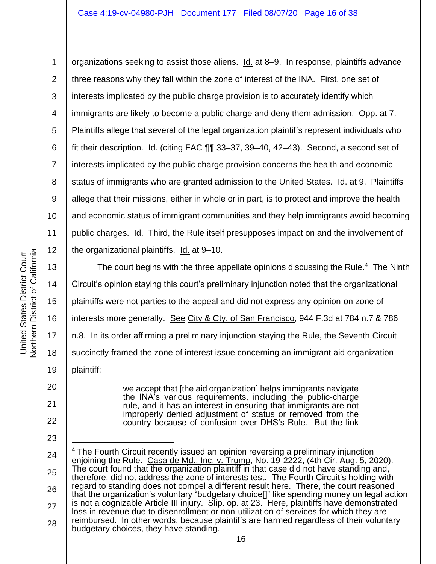2 3 4 5 6 7 8 9 10 11 12 organizations seeking to assist those aliens. Id. at 8–9. In response, plaintiffs advance three reasons why they fall within the zone of interest of the INA. First, one set of interests implicated by the public charge provision is to accurately identify which immigrants are likely to become a public charge and deny them admission. Opp. at 7. Plaintiffs allege that several of the legal organization plaintiffs represent individuals who fit their description. Id. (citing FAC ¶¶ 33–37, 39–40, 42–43). Second, a second set of interests implicated by the public charge provision concerns the health and economic status of immigrants who are granted admission to the United States. Id. at 9. Plaintiffs allege that their missions, either in whole or in part, is to protect and improve the health and economic status of immigrant communities and they help immigrants avoid becoming public charges. Id. Third, the Rule itself presupposes impact on and the involvement of the organizational plaintiffs. Id. at 9-10.

13 14 15 16 18 The court begins with the three appellate opinions discussing the Rule.<sup>4</sup> The Ninth Circuit's opinion staying this court's preliminary injunction noted that the organizational plaintiffs were not parties to the appeal and did not express any opinion on zone of interests more generally. See City & Cty. of San Francisco, 944 F.3d at 784 n.7 & 786 n.8. In its order affirming a preliminary injunction staying the Rule, the Seventh Circuit succinctly framed the zone of interest issue concerning an immigrant aid organization plaintiff:

> we accept that [the aid organization] helps immigrants navigate the INA's various requirements, including the public-charge rule, and it has an interest in ensuring that immigrants are not improperly denied adjustment of status or removed from the country because of confusion over DHS's Rule. But the link

1

22 23

17

19

20

21

<sup>25</sup> 26 27 28 <sup>4</sup> The Fourth Circuit recently issued an opinion reversing a preliminary injunction enjoining the Rule. Casa de Md., Inc. v. Trump, No. 19-2222, (4th Cir. Aug. 5, 2020). The court found that the organization plaintiff in that case did not have standing and, therefore, did not address the zone of interests test. The Fourth Circuit's holding with regard to standing does not compel a different result here. There, the court reasoned that the organization's voluntary "budgetary choice[]" like spending money on legal action is not a cognizable Article III injury. Slip. op. at 23. Here, plaintiffs have demonstrated loss in revenue due to disenrollment or non-utilization of services for which they are reimbursed. In other words, because plaintiffs are harmed regardless of their voluntary budgetary choices, they have standing.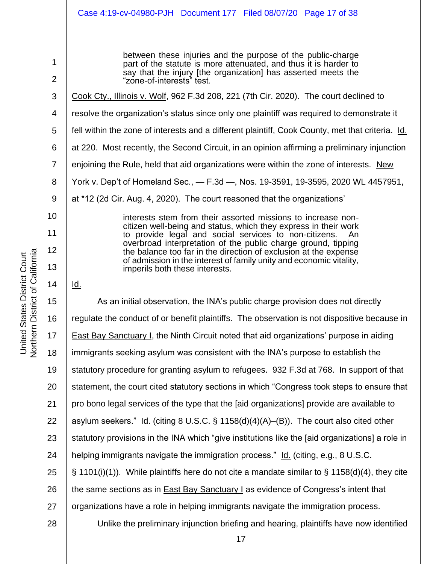Northern District of California Northern District of California United States District Court United States District Court

between these injuries and the purpose of the public-charge part of the statute is more attenuated, and thus it is harder to say that the injury [the organization] has asserted meets the "zone-of-interests" test.

- 3 Cook Cty., Illinois v. Wolf, 962 F.3d 208, 221 (7th Cir. 2020). The court declined to
- 4 resolve the organization's status since only one plaintiff was required to demonstrate it
- 5 fell within the zone of interests and a different plaintiff, Cook County, met that criteria. Id.
- 6 at 220. Most recently, the Second Circuit, in an opinion affirming a preliminary injunction
- 7 enjoining the Rule, held that aid organizations were within the zone of interests. New
- 8 York v. Dep't of Homeland Sec., — F.3d —, Nos. 19-3591, 19-3595, 2020 WL 4457951,
- 9 at \*12 (2d Cir. Aug. 4, 2020). The court reasoned that the organizations'

interests stem from their assorted missions to increase noncitizen well-being and status, which they express in their work to provide legal and social services to non-citizens. overbroad interpretation of the public charge ground, tipping the balance too far in the direction of exclusion at the expense of admission in the interest of family unity and economic vitality, imperils both these interests.

Id.

1

2

10

11

12

13

14

15 16 17 18 19 20 21 22 23 24 25 26 27 28 As an initial observation, the INA's public charge provision does not directly regulate the conduct of or benefit plaintiffs. The observation is not dispositive because in East Bay Sanctuary I, the Ninth Circuit noted that aid organizations' purpose in aiding immigrants seeking asylum was consistent with the INA's purpose to establish the statutory procedure for granting asylum to refugees. 932 F.3d at 768. In support of that statement, the court cited statutory sections in which "Congress took steps to ensure that pro bono legal services of the type that the [aid organizations] provide are available to asylum seekers."  $Id.$  (citing 8 U.S.C. § 1158(d)(4)(A)–(B)). The court also cited other statutory provisions in the INA which "give institutions like the [aid organizations] a role in helping immigrants navigate the immigration process." Id. (citing, e.g., 8 U.S.C.  $\S$  1101(i)(1)). While plaintiffs here do not cite a mandate similar to  $\S$  1158(d)(4), they cite the same sections as in East Bay Sanctuary I as evidence of Congress's intent that organizations have a role in helping immigrants navigate the immigration process. Unlike the preliminary injunction briefing and hearing, plaintiffs have now identified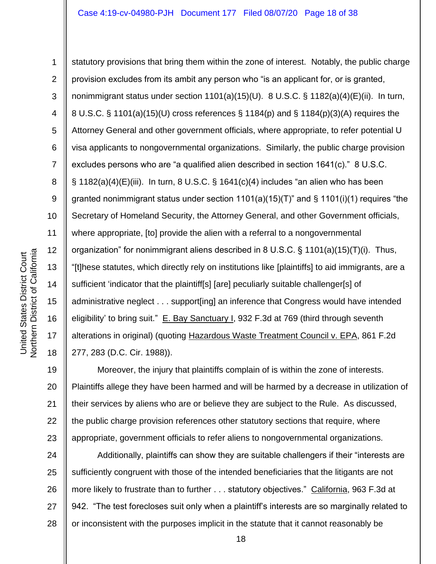1 2 3 4 5 6 7 8 9 10 11 12 13 14 15 16 17 18 statutory provisions that bring them within the zone of interest. Notably, the public charge provision excludes from its ambit any person who "is an applicant for, or is granted, nonimmigrant status under section 1101(a)(15)(U). 8 U.S.C. § 1182(a)(4)(E)(ii). In turn, 8 U.S.C. § 1101(a)(15)(U) cross references § 1184(p) and § 1184(p)(3)(A) requires the Attorney General and other government officials, where appropriate, to refer potential U visa applicants to nongovernmental organizations. Similarly, the public charge provision excludes persons who are "a qualified alien described in section 1641(c)." 8 U.S.C.  $\S$  1182(a)(4)(E)(iii). In turn, 8 U.S.C.  $\S$  1641(c)(4) includes "an alien who has been granted nonimmigrant status under section  $1101(a)(15)(T)$ " and §  $1101(i)(1)$  requires "the Secretary of Homeland Security, the Attorney General, and other Government officials, where appropriate, [to] provide the alien with a referral to a nongovernmental organization" for nonimmigrant aliens described in 8 U.S.C. § 1101(a)(15)(T)(i). Thus, "[t]hese statutes, which directly rely on institutions like [plaintiffs] to aid immigrants, are a sufficient 'indicator that the plaintiff[s] [are] peculiarly suitable challenger[s] of administrative neglect . . . support[ing] an inference that Congress would have intended eligibility' to bring suit." E. Bay Sanctuary I, 932 F.3d at 769 (third through seventh alterations in original) (quoting Hazardous Waste Treatment Council v. EPA, 861 F.2d 277, 283 (D.C. Cir. 1988)).

19 20 21 22 23 Moreover, the injury that plaintiffs complain of is within the zone of interests. Plaintiffs allege they have been harmed and will be harmed by a decrease in utilization of their services by aliens who are or believe they are subject to the Rule. As discussed, the public charge provision references other statutory sections that require, where appropriate, government officials to refer aliens to nongovernmental organizations.

24 25 26 27 28 Additionally, plaintiffs can show they are suitable challengers if their "interests are sufficiently congruent with those of the intended beneficiaries that the litigants are not more likely to frustrate than to further . . . statutory objectives." California, 963 F.3d at 942. "The test forecloses suit only when a plaintiff's interests are so marginally related to or inconsistent with the purposes implicit in the statute that it cannot reasonably be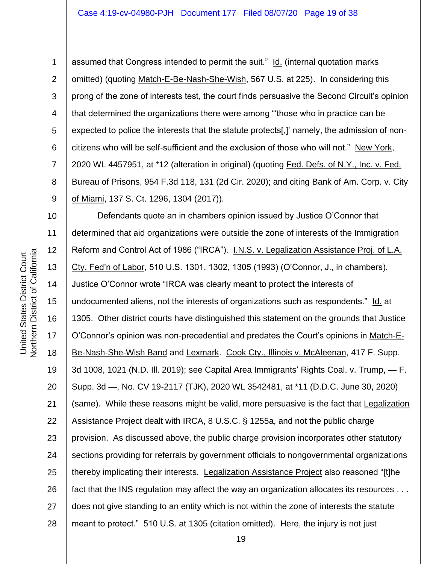assumed that Congress intended to permit the suit." Id. (internal quotation marks omitted) (quoting Match-E-Be-Nash-She-Wish, 567 U.S. at 225). In considering this prong of the zone of interests test, the court finds persuasive the Second Circuit's opinion that determined the organizations there were among "'those who in practice can be expected to police the interests that the statute protects[,]' namely, the admission of noncitizens who will be self-sufficient and the exclusion of those who will not." New York, 2020 WL 4457951, at \*12 (alteration in original) (quoting Fed. Defs. of N.Y., Inc. v. Fed. Bureau of Prisons, 954 F.3d 118, 131 (2d Cir. 2020); and citing Bank of Am. Corp. v. City of Miami, 137 S. Ct. 1296, 1304 (2017)).

10 11 12 13 14 15 16 17 18 19 20 21 22 23 24 25 26 27 28 Defendants quote an in chambers opinion issued by Justice O'Connor that determined that aid organizations were outside the zone of interests of the Immigration Reform and Control Act of 1986 ("IRCA"). I.N.S. v. Legalization Assistance Proj. of L.A. Cty. Fed'n of Labor, 510 U.S. 1301, 1302, 1305 (1993) (O'Connor, J., in chambers). Justice O'Connor wrote "IRCA was clearly meant to protect the interests of undocumented aliens, not the interests of organizations such as respondents." Id. at 1305. Other district courts have distinguished this statement on the grounds that Justice O'Connor's opinion was non-precedential and predates the Court's opinions in Match-E-Be-Nash-She-Wish Band and Lexmark. Cook Cty., Illinois v. McAleenan, 417 F. Supp. 3d 1008, 1021 (N.D. III. 2019); see Capital Area Immigrants' Rights Coal. v. Trump, — F. Supp. 3d —, No. CV 19-2117 (TJK), 2020 WL 3542481, at \*11 (D.D.C. June 30, 2020) (same). While these reasons might be valid, more persuasive is the fact that Legalization Assistance Project dealt with IRCA, 8 U.S.C. § 1255a, and not the public charge provision. As discussed above, the public charge provision incorporates other statutory sections providing for referrals by government officials to nongovernmental organizations thereby implicating their interests. Legalization Assistance Project also reasoned "[t]he fact that the INS regulation may affect the way an organization allocates its resources . . . does not give standing to an entity which is not within the zone of interests the statute meant to protect." 510 U.S. at 1305 (citation omitted). Here, the injury is not just

1

2

3

4

5

6

7

8

9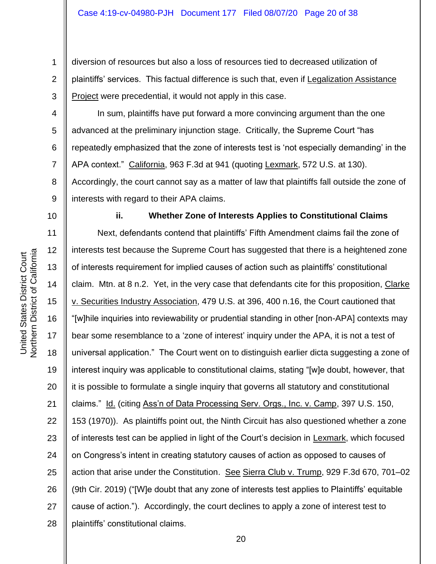2 3 diversion of resources but also a loss of resources tied to decreased utilization of plaintiffs' services. This factual difference is such that, even if Legalization Assistance Project were precedential, it would not apply in this case.

4 6 In sum, plaintiffs have put forward a more convincing argument than the one advanced at the preliminary injunction stage. Critically, the Supreme Court "has repeatedly emphasized that the zone of interests test is 'not especially demanding' in the APA context." California, 963 F.3d at 941 (quoting Lexmark, 572 U.S. at 130). Accordingly, the court cannot say as a matter of law that plaintiffs fall outside the zone of interests with regard to their APA claims.

10

1

5

7

8

9

## **ii. Whether Zone of Interests Applies to Constitutional Claims**

11 12 13 14 15 16 17 18 19 20 21 22 23 24 25 26 27 28 Next, defendants contend that plaintiffs' Fifth Amendment claims fail the zone of interests test because the Supreme Court has suggested that there is a heightened zone of interests requirement for implied causes of action such as plaintiffs' constitutional claim. Mtn. at 8 n.2. Yet, in the very case that defendants cite for this proposition, Clarke v. Securities Industry Association, 479 U.S. at 396, 400 n.16, the Court cautioned that "[w]hile inquiries into reviewability or prudential standing in other [non-APA] contexts may bear some resemblance to a 'zone of interest' inquiry under the APA, it is not a test of universal application." The Court went on to distinguish earlier dicta suggesting a zone of interest inquiry was applicable to constitutional claims, stating "[w]e doubt, however, that it is possible to formulate a single inquiry that governs all statutory and constitutional claims." Id. (citing Ass'n of Data Processing Serv. Orgs., Inc. v. Camp, 397 U.S. 150, 153 (1970)). As plaintiffs point out, the Ninth Circuit has also questioned whether a zone of interests test can be applied in light of the Court's decision in Lexmark, which focused on Congress's intent in creating statutory causes of action as opposed to causes of action that arise under the Constitution. See Sierra Club v. Trump, 929 F.3d 670, 701–02 (9th Cir. 2019) ("[W]e doubt that any zone of interests test applies to Plaintiffs' equitable cause of action."). Accordingly, the court declines to apply a zone of interest test to plaintiffs' constitutional claims.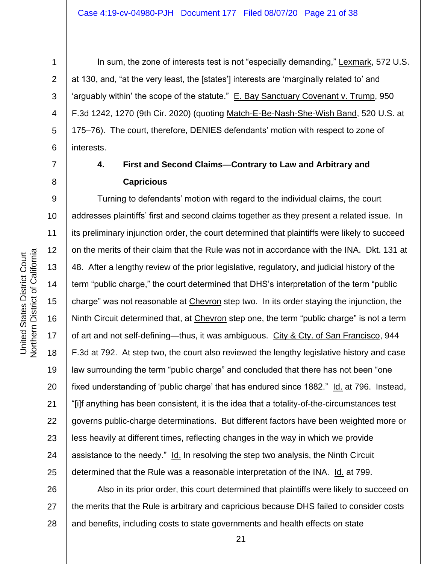4

5

6

7

8

1

In sum, the zone of interests test is not "especially demanding," Lexmark, 572 U.S. at 130, and, "at the very least, the [states'] interests are 'marginally related to' and 'arguably within' the scope of the statute." E. Bay Sanctuary Covenant v. Trump, 950 F.3d 1242, 1270 (9th Cir. 2020) (quoting Match-E-Be-Nash-She-Wish Band, 520 U.S. at 175–76). The court, therefore, DENIES defendants' motion with respect to zone of interests.

# **4. First and Second Claims—Contrary to Law and Arbitrary and Capricious**

9 10 11 12 13 14 15 16 17 18 19 20 21 22 23 24 25 Turning to defendants' motion with regard to the individual claims, the court addresses plaintiffs' first and second claims together as they present a related issue. In its preliminary injunction order, the court determined that plaintiffs were likely to succeed on the merits of their claim that the Rule was not in accordance with the INA. Dkt. 131 at 48. After a lengthy review of the prior legislative, regulatory, and judicial history of the term "public charge," the court determined that DHS's interpretation of the term "public charge" was not reasonable at Chevron step two. In its order staying the injunction, the Ninth Circuit determined that, at Chevron step one, the term "public charge" is not a term of art and not self-defining—thus, it was ambiguous. City & Cty. of San Francisco, 944 F.3d at 792. At step two, the court also reviewed the lengthy legislative history and case law surrounding the term "public charge" and concluded that there has not been "one fixed understanding of 'public charge' that has endured since 1882." Id. at 796. Instead, "[i]f anything has been consistent, it is the idea that a totality-of-the-circumstances test governs public-charge determinations. But different factors have been weighted more or less heavily at different times, reflecting changes in the way in which we provide assistance to the needy." Id. In resolving the step two analysis, the Ninth Circuit determined that the Rule was a reasonable interpretation of the INA. Id. at 799.

26 27 28 Also in its prior order, this court determined that plaintiffs were likely to succeed on the merits that the Rule is arbitrary and capricious because DHS failed to consider costs and benefits, including costs to state governments and health effects on state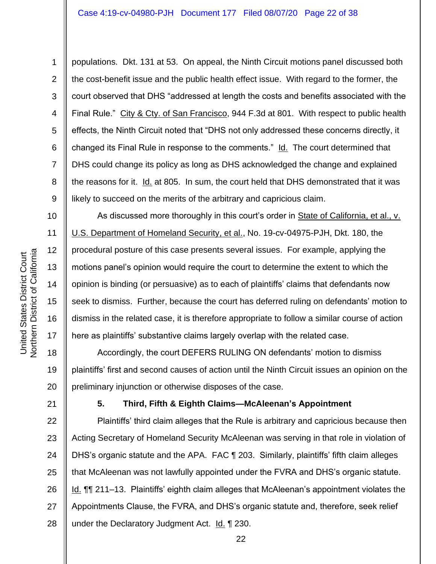3 4 6 7 populations. Dkt. 131 at 53. On appeal, the Ninth Circuit motions panel discussed both the cost-benefit issue and the public health effect issue. With regard to the former, the court observed that DHS "addressed at length the costs and benefits associated with the Final Rule." City & Cty. of San Francisco, 944 F.3d at 801. With respect to public health effects, the Ninth Circuit noted that "DHS not only addressed these concerns directly, it changed its Final Rule in response to the comments." Id. The court determined that DHS could change its policy as long as DHS acknowledged the change and explained the reasons for it. Id. at 805. In sum, the court held that DHS demonstrated that it was likely to succeed on the merits of the arbitrary and capricious claim.

As discussed more thoroughly in this court's order in State of California, et al., v. U.S. Department of Homeland Security, et al., No. 19-cv-04975-PJH, Dkt. 180, the procedural posture of this case presents several issues. For example, applying the motions panel's opinion would require the court to determine the extent to which the opinion is binding (or persuasive) as to each of plaintiffs' claims that defendants now seek to dismiss. Further, because the court has deferred ruling on defendants' motion to dismiss in the related case, it is therefore appropriate to follow a similar course of action here as plaintiffs' substantive claims largely overlap with the related case.

18 19 20 Accordingly, the court DEFERS RULING ON defendants' motion to dismiss plaintiffs' first and second causes of action until the Ninth Circuit issues an opinion on the preliminary injunction or otherwise disposes of the case.

21

1

2

5

8

9

10

11

12

13

14

15

16

17

## **5. Third, Fifth & Eighth Claims—McAleenan's Appointment**

22 23 24 25 26 27 28 Plaintiffs' third claim alleges that the Rule is arbitrary and capricious because then Acting Secretary of Homeland Security McAleenan was serving in that role in violation of DHS's organic statute and the APA. FAC ¶ 203. Similarly, plaintiffs' fifth claim alleges that McAleenan was not lawfully appointed under the FVRA and DHS's organic statute. Id. ¶¶ 211–13. Plaintiffs' eighth claim alleges that McAleenan's appointment violates the Appointments Clause, the FVRA, and DHS's organic statute and, therefore, seek relief under the Declaratory Judgment Act. Id. 1 230.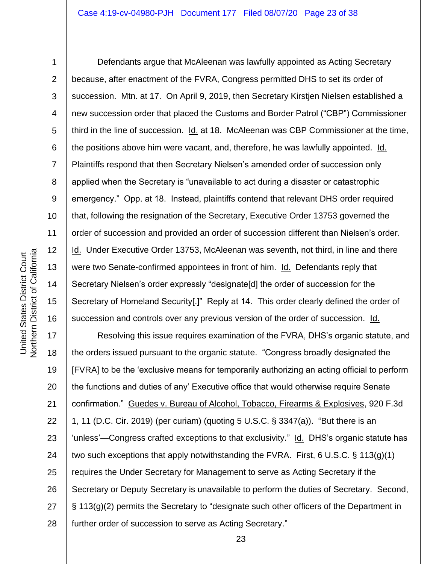**Northern District of California** Northern District of California United States District Court United States District Court

1

2

3

4

5

7

8

9

6 10 11 12 13 14 15 16 Defendants argue that McAleenan was lawfully appointed as Acting Secretary because, after enactment of the FVRA, Congress permitted DHS to set its order of succession. Mtn. at 17. On April 9, 2019, then Secretary Kirstjen Nielsen established a new succession order that placed the Customs and Border Patrol ("CBP") Commissioner third in the line of succession. Id. at 18. McAleenan was CBP Commissioner at the time, the positions above him were vacant, and, therefore, he was lawfully appointed. Id. Plaintiffs respond that then Secretary Nielsen's amended order of succession only applied when the Secretary is "unavailable to act during a disaster or catastrophic emergency." Opp. at 18. Instead, plaintiffs contend that relevant DHS order required that, following the resignation of the Secretary, Executive Order 13753 governed the order of succession and provided an order of succession different than Nielsen's order. Id. Under Executive Order 13753, McAleenan was seventh, not third, in line and there were two Senate-confirmed appointees in front of him. Id. Defendants reply that Secretary Nielsen's order expressly "designate[d] the order of succession for the Secretary of Homeland Security[.]" Reply at 14. This order clearly defined the order of succession and controls over any previous version of the order of succession. Id.

17 18 19 20 21 22 23 24 25 26 27 28 Resolving this issue requires examination of the FVRA, DHS's organic statute, and the orders issued pursuant to the organic statute. "Congress broadly designated the [FVRA] to be the 'exclusive means for temporarily authorizing an acting official to perform the functions and duties of any' Executive office that would otherwise require Senate confirmation." Guedes v. Bureau of Alcohol, Tobacco, Firearms & Explosives, 920 F.3d 1, 11 (D.C. Cir. 2019) (per curiam) (quoting 5 U.S.C. § 3347(a)). "But there is an 'unless'—Congress crafted exceptions to that exclusivity." Id. DHS's organic statute has two such exceptions that apply notwithstanding the FVRA. First, 6 U.S.C. § 113(g)(1) requires the Under Secretary for Management to serve as Acting Secretary if the Secretary or Deputy Secretary is unavailable to perform the duties of Secretary. Second, § 113(g)(2) permits the Secretary to "designate such other officers of the Department in further order of succession to serve as Acting Secretary."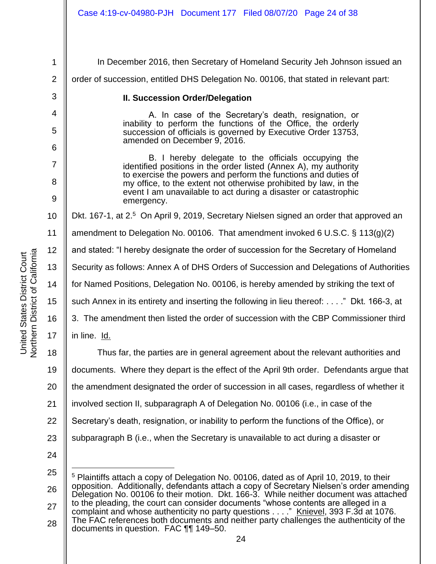1 2 3 4 5 6 7 8 9 10 11 12 13 14 15 16 17 18 19 20 21 22 23 24 25 26 In December 2016, then Secretary of Homeland Security Jeh Johnson issued an order of succession, entitled DHS Delegation No. 00106, that stated in relevant part: **II. Succession Order/Delegation** A. In case of the Secretary's death, resignation, or inability to perform the functions of the Office, the orderly succession of officials is governed by Executive Order 13753, amended on December 9, 2016. B. I hereby delegate to the officials occupying the identified positions in the order listed (Annex A), my authority to exercise the powers and perform the functions and duties of my office, to the extent not otherwise prohibited by law, in the event I am unavailable to act during a disaster or catastrophic emergency. Dkt. 167-1, at 2.<sup>5</sup> On April 9, 2019, Secretary Nielsen signed an order that approved an amendment to Delegation No. 00106. That amendment invoked 6 U.S.C. § 113(g)(2) and stated: "I hereby designate the order of succession for the Secretary of Homeland Security as follows: Annex A of DHS Orders of Succession and Delegations of Authorities for Named Positions, Delegation No. 00106, is hereby amended by striking the text of such Annex in its entirety and inserting the following in lieu thereof: . . . ." Dkt. 166-3, at 3. The amendment then listed the order of succession with the CBP Commissioner third in line. Id. Thus far, the parties are in general agreement about the relevant authorities and documents. Where they depart is the effect of the April 9th order. Defendants argue that the amendment designated the order of succession in all cases, regardless of whether it involved section II, subparagraph A of Delegation No. 00106 (i.e., in case of the Secretary's death, resignation, or inability to perform the functions of the Office), or subparagraph B (i.e., when the Secretary is unavailable to act during a disaster or <sup>5</sup> Plaintiffs attach a copy of Delegation No. 00106, dated as of April 10, 2019, to their opposition. Additionally, defendants attach a copy of Secretary Nielsen's order amending Delegation No. 00106 to their motion. Dkt. 166-3. While neither document was attached

27 28 to the pleading, the court can consider documents "whose contents are alleged in a complaint and whose authenticity no party questions . . . ." Knievel, 393 F.3d at 1076. The FAC references both documents and neither party challenges the authenticity of the documents in question. FAC ¶¶ 149–50.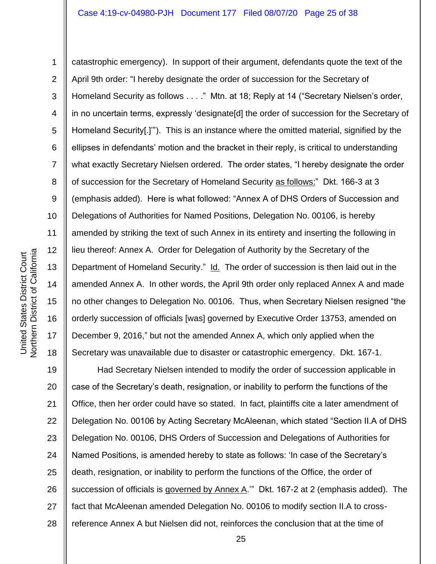Northern District of California Northern District of California United States District Court United States District Court

1

2 3 4 5 6 7 8 9 10 11 12 13 14 15 16 17 18 catastrophic emergency). In support of their argument, defendants quote the text of the April 9th order: "I hereby designate the order of succession for the Secretary of Homeland Security as follows . . . ." Mtn. at 18; Reply at 14 ("Secretary Nielsen's order, in no uncertain terms, expressly 'designate[d] the order of succession for the Secretary of Homeland Security[.]"). This is an instance where the omitted material, signified by the ellipses in defendants' motion and the bracket in their reply, is critical to understanding what exactly Secretary Nielsen ordered. The order states, "I hereby designate the order of succession for the Secretary of Homeland Security as follows:" Dkt. 166-3 at 3 (emphasis added). Here is what followed: "Annex A of DHS Orders of Succession and Delegations of Authorities for Named Positions, Delegation No. 00106, is hereby amended by striking the text of such Annex in its entirety and inserting the following in lieu thereof: Annex A. Order for Delegation of Authority by the Secretary of the Department of Homeland Security." Id. The order of succession is then laid out in the amended Annex A. In other words, the April 9th order only replaced Annex A and made no other changes to Delegation No. 00106. Thus, when Secretary Nielsen resigned "the orderly succession of officials [was] governed by Executive Order 13753, amended on December 9, 2016," but not the amended Annex A, which only applied when the Secretary was unavailable due to disaster or catastrophic emergency. Dkt. 167-1.

19 20 21 22 23 24 25 26 27 28 Had Secretary Nielsen intended to modify the order of succession applicable in case of the Secretary's death, resignation, or inability to perform the functions of the Office, then her order could have so stated. In fact, plaintiffs cite a later amendment of Delegation No. 00106 by Acting Secretary McAleenan, which stated "Section II.A of DHS Delegation No. 00106, DHS Orders of Succession and Delegations of Authorities for Named Positions, is amended hereby to state as follows: 'In case of the Secretary's death, resignation, or inability to perform the functions of the Office, the order of succession of officials is governed by Annex A.'" Dkt. 167-2 at 2 (emphasis added). The fact that McAleenan amended Delegation No. 00106 to modify section II.A to crossreference Annex A but Nielsen did not, reinforces the conclusion that at the time of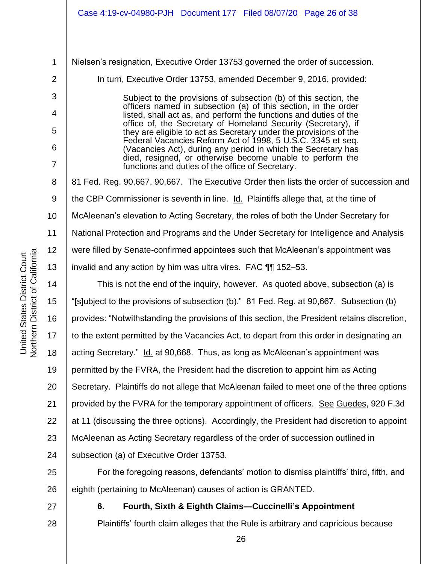1 2 3 4 5 6 7 8 9 10 11 12 13 14 15 16 17 18 19 20 21 22 23 24 25 Nielsen's resignation, Executive Order 13753 governed the order of succession. In turn, Executive Order 13753, amended December 9, 2016, provided: Subject to the provisions of subsection (b) of this section, the officers named in subsection (a) of this section, in the order listed, shall act as, and perform the functions and duties of the office of, the Secretary of Homeland Security (Secretary), if they are eligible to act as Secretary under the provisions of the Federal Vacancies Reform Act of 1998, 5 U.S.C. 3345 et seq. (Vacancies Act), during any period in which the Secretary has died, resigned, or otherwise become unable to perform the functions and duties of the office of Secretary. 81 Fed. Reg. 90,667, 90,667. The Executive Order then lists the order of succession and the CBP Commissioner is seventh in line. Id. Plaintiffs allege that, at the time of McAleenan's elevation to Acting Secretary, the roles of both the Under Secretary for National Protection and Programs and the Under Secretary for Intelligence and Analysis were filled by Senate-confirmed appointees such that McAleenan's appointment was invalid and any action by him was ultra vires. FAC ¶¶ 152–53. This is not the end of the inquiry, however. As quoted above, subsection (a) is "[s]ubject to the provisions of subsection (b)." 81 Fed. Reg. at 90,667. Subsection (b) provides: "Notwithstanding the provisions of this section, the President retains discretion, to the extent permitted by the Vacancies Act, to depart from this order in designating an acting Secretary." Id. at 90,668. Thus, as long as McAleenan's appointment was permitted by the FVRA, the President had the discretion to appoint him as Acting Secretary. Plaintiffs do not allege that McAleenan failed to meet one of the three options provided by the FVRA for the temporary appointment of officers. See Guedes, 920 F.3d at 11 (discussing the three options). Accordingly, the President had discretion to appoint McAleenan as Acting Secretary regardless of the order of succession outlined in subsection (a) of Executive Order 13753. For the foregoing reasons, defendants' motion to dismiss plaintiffs' third, fifth, and

26 eighth (pertaining to McAleenan) causes of action is GRANTED.

27 28

# **6. Fourth, Sixth & Eighth Claims—Cuccinelli's Appointment**

Plaintiffs' fourth claim alleges that the Rule is arbitrary and capricious because

Northern District of California Northern District of California United States District Court United States District Court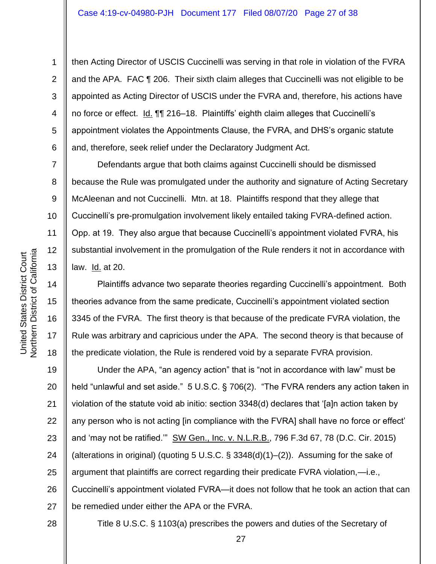then Acting Director of USCIS Cuccinelli was serving in that role in violation of the FVRA and the APA. FAC ¶ 206. Their sixth claim alleges that Cuccinelli was not eligible to be appointed as Acting Director of USCIS under the FVRA and, therefore, his actions have no force or effect. Id. 11 216-18. Plaintiffs' eighth claim alleges that Cuccinelli's appointment violates the Appointments Clause, the FVRA, and DHS's organic statute and, therefore, seek relief under the Declaratory Judgment Act.

Defendants argue that both claims against Cuccinelli should be dismissed because the Rule was promulgated under the authority and signature of Acting Secretary McAleenan and not Cuccinelli. Mtn. at 18. Plaintiffs respond that they allege that Cuccinelli's pre-promulgation involvement likely entailed taking FVRA-defined action. Opp. at 19. They also argue that because Cuccinelli's appointment violated FVRA, his substantial involvement in the promulgation of the Rule renders it not in accordance with law. Id. at 20.

Plaintiffs advance two separate theories regarding Cuccinelli's appointment. Both theories advance from the same predicate, Cuccinelli's appointment violated section 3345 of the FVRA. The first theory is that because of the predicate FVRA violation, the Rule was arbitrary and capricious under the APA. The second theory is that because of the predicate violation, the Rule is rendered void by a separate FVRA provision.

19 20 21 22 23 24 25 26 27 Under the APA, "an agency action" that is "not in accordance with law" must be held "unlawful and set aside." 5 U.S.C. § 706(2). "The FVRA renders any action taken in violation of the statute void ab initio: section 3348(d) declares that '[a]n action taken by any person who is not acting [in compliance with the FVRA] shall have no force or effect' and 'may not be ratified.'" SW Gen., Inc. v. N.L.R.B., 796 F.3d 67, 78 (D.C. Cir. 2015) (alterations in original) (quoting 5 U.S.C.  $\S 3348(d)(1)$ –(2)). Assuming for the sake of argument that plaintiffs are correct regarding their predicate FVRA violation,—i.e., Cuccinelli's appointment violated FVRA—it does not follow that he took an action that can be remedied under either the APA or the FVRA.

Title 8 U.S.C. § 1103(a) prescribes the powers and duties of the Secretary of

1

2

3

4

5

6

7

8

9

10

11

12

13

14

15

16

17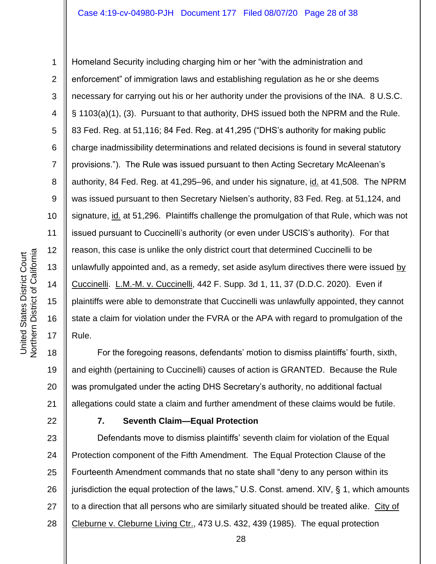United States District Court

Northern District of California United States District Court

1 2 3 4 6 7 8 15 16 17 Homeland Security including charging him or her "with the administration and enforcement" of immigration laws and establishing regulation as he or she deems necessary for carrying out his or her authority under the provisions of the INA. 8 U.S.C. § 1103(a)(1), (3). Pursuant to that authority, DHS issued both the NPRM and the Rule. 83 Fed. Reg. at 51,116; 84 Fed. Reg. at 41,295 ("DHS's authority for making public charge inadmissibility determinations and related decisions is found in several statutory provisions."). The Rule was issued pursuant to then Acting Secretary McAleenan's authority, 84 Fed. Reg. at 41,295–96, and under his signature, id. at 41,508. The NPRM was issued pursuant to then Secretary Nielsen's authority, 83 Fed. Reg. at 51,124, and signature, id. at 51,296. Plaintiffs challenge the promulgation of that Rule, which was not issued pursuant to Cuccinelli's authority (or even under USCIS's authority). For that reason, this case is unlike the only district court that determined Cuccinelli to be unlawfully appointed and, as a remedy, set aside asylum directives there were issued by Cuccinelli. L.M.-M. v. Cuccinelli, 442 F. Supp. 3d 1, 11, 37 (D.D.C. 2020). Even if plaintiffs were able to demonstrate that Cuccinelli was unlawfully appointed, they cannot state a claim for violation under the FVRA or the APA with regard to promulgation of the Rule.

18 19 20 21 For the foregoing reasons, defendants' motion to dismiss plaintiffs' fourth, sixth, and eighth (pertaining to Cuccinelli) causes of action is GRANTED. Because the Rule was promulgated under the acting DHS Secretary's authority, no additional factual allegations could state a claim and further amendment of these claims would be futile.

22

# **7. Seventh Claim—Equal Protection**

23 24 25 26 27 28 Defendants move to dismiss plaintiffs' seventh claim for violation of the Equal Protection component of the Fifth Amendment. The Equal Protection Clause of the Fourteenth Amendment commands that no state shall "deny to any person within its jurisdiction the equal protection of the laws," U.S. Const. amend. XIV, § 1, which amounts to a direction that all persons who are similarly situated should be treated alike. City of Cleburne v. Cleburne Living Ctr., 473 U.S. 432, 439 (1985). The equal protection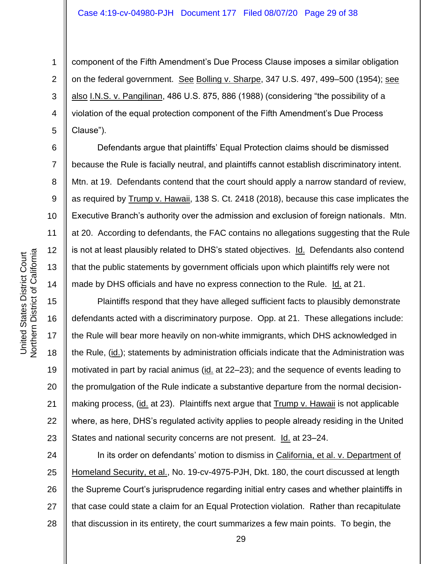component of the Fifth Amendment's Due Process Clause imposes a similar obligation on the federal government. See Bolling v. Sharpe, 347 U.S. 497, 499–500 (1954); see also I.N.S. v. Pangilinan, 486 U.S. 875, 886 (1988) (considering "the possibility of a violation of the equal protection component of the Fifth Amendment's Due Process Clause").

Defendants argue that plaintiffs' Equal Protection claims should be dismissed because the Rule is facially neutral, and plaintiffs cannot establish discriminatory intent. Mtn. at 19. Defendants contend that the court should apply a narrow standard of review, as required by Trump v. Hawaii, 138 S. Ct. 2418 (2018), because this case implicates the Executive Branch's authority over the admission and exclusion of foreign nationals. Mtn. at 20. According to defendants, the FAC contains no allegations suggesting that the Rule is not at least plausibly related to DHS's stated objectives. Id. Defendants also contend that the public statements by government officials upon which plaintiffs rely were not made by DHS officials and have no express connection to the Rule. Id. at 21.

Plaintiffs respond that they have alleged sufficient facts to plausibly demonstrate defendants acted with a discriminatory purpose. Opp. at 21. These allegations include: the Rule will bear more heavily on non-white immigrants, which DHS acknowledged in the Rule, (id.); statements by administration officials indicate that the Administration was motivated in part by racial animus (id. at 22–23); and the sequence of events leading to the promulgation of the Rule indicate a substantive departure from the normal decisionmaking process, (id. at 23). Plaintiffs next argue that Trump v. Hawaii is not applicable where, as here, DHS's regulated activity applies to people already residing in the United States and national security concerns are not present. Id. at 23–24.

24 25 26 27 28 In its order on defendants' motion to dismiss in California, et al. v. Department of Homeland Security, et al., No. 19-cv-4975-PJH, Dkt. 180, the court discussed at length the Supreme Court's jurisprudence regarding initial entry cases and whether plaintiffs in that case could state a claim for an Equal Protection violation. Rather than recapitulate that discussion in its entirety, the court summarizes a few main points. To begin, the

1

2

3

4

5

6

7

8

9

10

11

12

13

14

15

16

17

18

19

20

21

22

23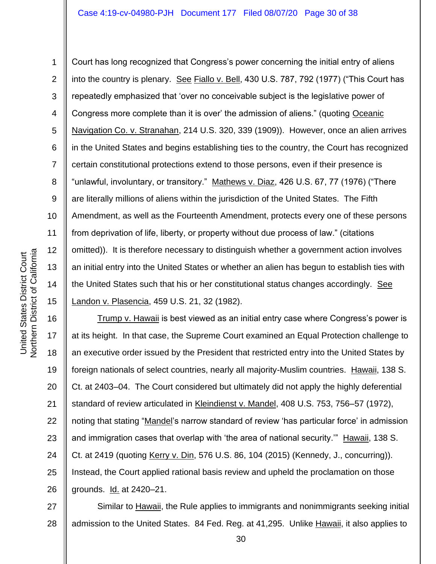## Case 4:19-cv-04980-PJH Document 177 Filed 08/07/20 Page 30 of 38

3 6 7 8 10 11 12 13 14 15 Court has long recognized that Congress's power concerning the initial entry of aliens into the country is plenary. See Fiallo v. Bell, 430 U.S. 787, 792 (1977) ("This Court has repeatedly emphasized that 'over no conceivable subject is the legislative power of Congress more complete than it is over' the admission of aliens." (quoting Oceanic Navigation Co. v. Stranahan, 214 U.S. 320, 339 (1909)). However, once an alien arrives in the United States and begins establishing ties to the country, the Court has recognized certain constitutional protections extend to those persons, even if their presence is "unlawful, involuntary, or transitory." Mathews v. Diaz, 426 U.S. 67, 77 (1976) ("There are literally millions of aliens within the jurisdiction of the United States. The Fifth Amendment, as well as the Fourteenth Amendment, protects every one of these persons from deprivation of life, liberty, or property without due process of law." (citations omitted)). It is therefore necessary to distinguish whether a government action involves an initial entry into the United States or whether an alien has begun to establish ties with the United States such that his or her constitutional status changes accordingly. See Landon v. Plasencia, 459 U.S. 21, 32 (1982).

16 17 18 19 20 21 22 23 24 25 26 Trump v. Hawaii is best viewed as an initial entry case where Congress's power is at its height. In that case, the Supreme Court examined an Equal Protection challenge to an executive order issued by the President that restricted entry into the United States by foreign nationals of select countries, nearly all majority-Muslim countries. Hawaii, 138 S. Ct. at 2403–04. The Court considered but ultimately did not apply the highly deferential standard of review articulated in Kleindienst v. Mandel, 408 U.S. 753, 756–57 (1972), noting that stating "Mandel's narrow standard of review 'has particular force' in admission and immigration cases that overlap with 'the area of national security.'" Hawaii, 138 S. Ct. at 2419 (quoting Kerry v. Din, 576 U.S. 86, 104 (2015) (Kennedy, J., concurring)). Instead, the Court applied rational basis review and upheld the proclamation on those grounds. Id. at 2420–21.

27 28 Similar to Hawaii, the Rule applies to immigrants and nonimmigrants seeking initial admission to the United States. 84 Fed. Reg. at 41,295. Unlike Hawaii, it also applies to

1

2

4

5

9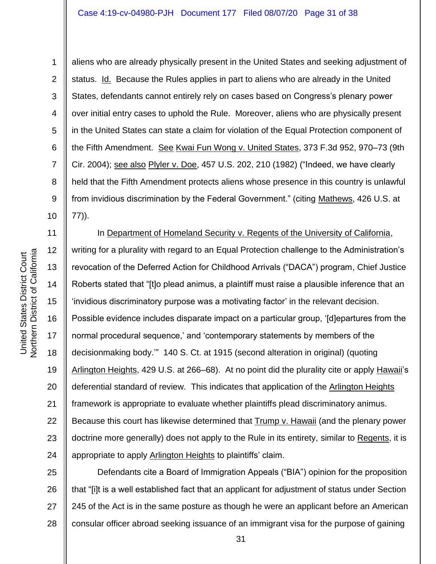1

2

3

4

5

6

7

8

9

11 12 Northern District of California Northern District of California United States District Court United States District Court 13 14 15 17

aliens who are already physically present in the United States and seeking adjustment of status. Id. Because the Rules applies in part to aliens who are already in the United States, defendants cannot entirely rely on cases based on Congress's plenary power over initial entry cases to uphold the Rule. Moreover, aliens who are physically present in the United States can state a claim for violation of the Equal Protection component of the Fifth Amendment. See Kwai Fun Wong v. United States, 373 F.3d 952, 970–73 (9th Cir. 2004); see also Plyler v. Doe, 457 U.S. 202, 210 (1982) ("Indeed, we have clearly held that the Fifth Amendment protects aliens whose presence in this country is unlawful from invidious discrimination by the Federal Government." (citing Mathews, 426 U.S. at 77)).

16 18 19 20 21 22 23 24 In Department of Homeland Security v. Regents of the University of California, writing for a plurality with regard to an Equal Protection challenge to the Administration's revocation of the Deferred Action for Childhood Arrivals ("DACA") program, Chief Justice Roberts stated that "[t]o plead animus, a plaintiff must raise a plausible inference that an 'invidious discriminatory purpose was a motivating factor' in the relevant decision. Possible evidence includes disparate impact on a particular group, '[d]epartures from the normal procedural sequence,' and 'contemporary statements by members of the decisionmaking body.'" 140 S. Ct. at 1915 (second alteration in original) (quoting Arlington Heights, 429 U.S. at 266–68). At no point did the plurality cite or apply Hawaii's deferential standard of review. This indicates that application of the Arlington Heights framework is appropriate to evaluate whether plaintiffs plead discriminatory animus. Because this court has likewise determined that Trump v. Hawaii (and the plenary power doctrine more generally) does not apply to the Rule in its entirety, similar to Regents, it is appropriate to apply Arlington Heights to plaintiffs' claim.

25 26 27 28 Defendants cite a Board of Immigration Appeals ("BIA") opinion for the proposition that "[i]t is a well established fact that an applicant for adjustment of status under Section 245 of the Act is in the same posture as though he were an applicant before an American consular officer abroad seeking issuance of an immigrant visa for the purpose of gaining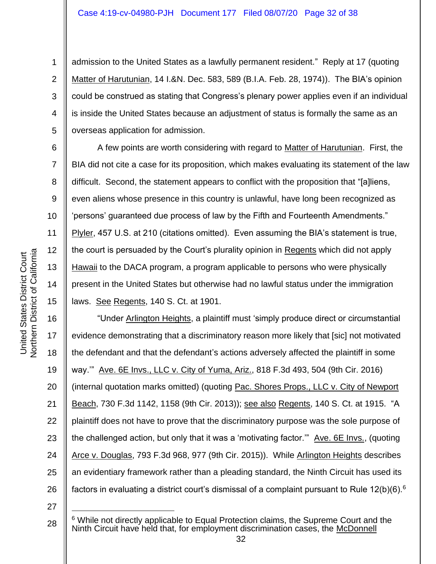admission to the United States as a lawfully permanent resident." Reply at 17 (quoting Matter of Harutunian, 14 I.&N. Dec. 583, 589 (B.I.A. Feb. 28, 1974)). The BIA's opinion could be construed as stating that Congress's plenary power applies even if an individual is inside the United States because an adjustment of status is formally the same as an overseas application for admission.

A few points are worth considering with regard to Matter of Harutunian. First, the BIA did not cite a case for its proposition, which makes evaluating its statement of the law difficult. Second, the statement appears to conflict with the proposition that "[a]liens, even aliens whose presence in this country is unlawful, have long been recognized as 'persons' guaranteed due process of law by the Fifth and Fourteenth Amendments." Plyler, 457 U.S. at 210 (citations omitted). Even assuming the BIA's statement is true, the court is persuaded by the Court's plurality opinion in Regents which did not apply Hawaii to the DACA program, a program applicable to persons who were physically present in the United States but otherwise had no lawful status under the immigration laws. See Regents, 140 S. Ct. at 1901.

16 17 18 19 20 21 22 23 24 25 26 "Under Arlington Heights, a plaintiff must 'simply produce direct or circumstantial evidence demonstrating that a discriminatory reason more likely that [sic] not motivated the defendant and that the defendant's actions adversely affected the plaintiff in some way.'" Ave. 6E Invs., LLC v. City of Yuma, Ariz., 818 F.3d 493, 504 (9th Cir. 2016) (internal quotation marks omitted) (quoting Pac. Shores Props., LLC v. City of Newport Beach, 730 F.3d 1142, 1158 (9th Cir. 2013)); see also Regents, 140 S. Ct. at 1915. "A plaintiff does not have to prove that the discriminatory purpose was the sole purpose of the challenged action, but only that it was a 'motivating factor.'" Ave. 6E Invs., (quoting Arce v. Douglas, 793 F.3d 968, 977 (9th Cir. 2015)). While Arlington Heights describes an evidentiary framework rather than a pleading standard, the Ninth Circuit has used its factors in evaluating a district court's dismissal of a complaint pursuant to Rule 12(b)(6).<sup>6</sup>

27

5

6

7

8

9

10

11

12

13

14

15

1

<sup>28</sup> <sup>6</sup> While not directly applicable to Equal Protection claims, the Supreme Court and the Ninth Circuit have held that, for employment discrimination cases, the McDonnell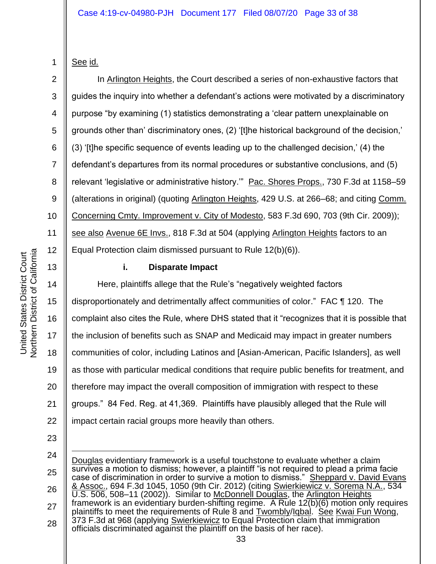Northern District of California Northern District of California United States District Court United States District Court

# See id.

1

2

3

4

5

6

7

8

9

10

11

12

13

In Arlington Heights, the Court described a series of non-exhaustive factors that guides the inquiry into whether a defendant's actions were motivated by a discriminatory purpose "by examining (1) statistics demonstrating a 'clear pattern unexplainable on grounds other than' discriminatory ones, (2) '[t]he historical background of the decision,' (3) '[t]he specific sequence of events leading up to the challenged decision,' (4) the defendant's departures from its normal procedures or substantive conclusions, and (5) relevant 'legislative or administrative history." Pac. Shores Props., 730 F.3d at 1158–59 (alterations in original) (quoting Arlington Heights, 429 U.S. at 266–68; and citing Comm. Concerning Cmty. Improvement v. City of Modesto, 583 F.3d 690, 703 (9th Cir. 2009)); see also Avenue 6E Invs., 818 F.3d at 504 (applying Arlington Heights factors to an Equal Protection claim dismissed pursuant to Rule 12(b)(6)).

# **i. Disparate Impact**

14 15 16 17 18 19 20 21 22 Here, plaintiffs allege that the Rule's "negatively weighted factors disproportionately and detrimentally affect communities of color." FAC ¶ 120. The complaint also cites the Rule, where DHS stated that it "recognizes that it is possible that the inclusion of benefits such as SNAP and Medicaid may impact in greater numbers communities of color, including Latinos and [Asian-American, Pacific Islanders], as well as those with particular medical conditions that require public benefits for treatment, and therefore may impact the overall composition of immigration with respect to these groups." 84 Fed. Reg. at 41,369. Plaintiffs have plausibly alleged that the Rule will impact certain racial groups more heavily than others.

- 23
- 24

<sup>25</sup> 26 27 28 Douglas evidentiary framework is a useful touchstone to evaluate whether a claim survives a motion to dismiss; however, a plaintiff "is not required to plead a prima facie case of discrimination in order to survive a motion to dismiss." Sheppard v. David Evans & Assoc., 694 F.3d 1045, 1050 (9th Cir. 2012) (citing Swierkiewicz v. Sorema N.A., 534 U.S. 506, 508–11 (2002)). Similar to McDonnell Douglas, the Arlington Heights framework is an evidentiary burden-shifting regime. A Rule 12(b)(6) motion only requires plaintiffs to meet the requirements of Rule 8 and Twombly/Iqbal. See Kwai Fun Wong, 373 F.3d at 968 (applying Swierkiewicz to Equal Protection claim that immigration officials discriminated against the plaintiff on the basis of her race).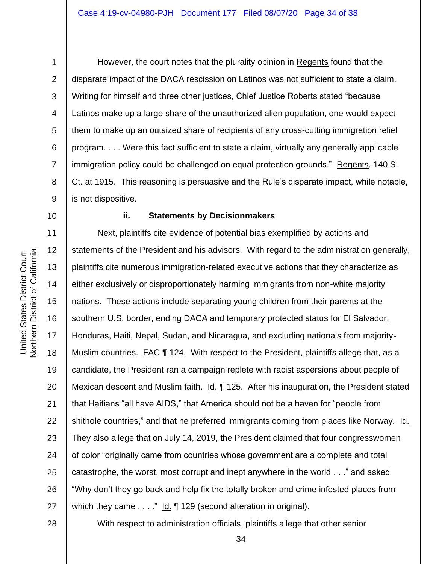5

6

7

8

9

1

However, the court notes that the plurality opinion in Regents found that the disparate impact of the DACA rescission on Latinos was not sufficient to state a claim. Writing for himself and three other justices, Chief Justice Roberts stated "because Latinos make up a large share of the unauthorized alien population, one would expect them to make up an outsized share of recipients of any cross-cutting immigration relief program. . . . Were this fact sufficient to state a claim, virtually any generally applicable immigration policy could be challenged on equal protection grounds." Regents, 140 S. Ct. at 1915. This reasoning is persuasive and the Rule's disparate impact, while notable, is not dispositive.

10

## **ii. Statements by Decisionmakers**

11 12 13 14 15 16 17 18 19 20 21 22 23 24 25 26 27 Next, plaintiffs cite evidence of potential bias exemplified by actions and statements of the President and his advisors. With regard to the administration generally, plaintiffs cite numerous immigration-related executive actions that they characterize as either exclusively or disproportionately harming immigrants from non-white majority nations. These actions include separating young children from their parents at the southern U.S. border, ending DACA and temporary protected status for El Salvador, Honduras, Haiti, Nepal, Sudan, and Nicaragua, and excluding nationals from majority-Muslim countries. FAC ¶ 124. With respect to the President, plaintiffs allege that, as a candidate, the President ran a campaign replete with racist aspersions about people of Mexican descent and Muslim faith. Id. 125. After his inauguration, the President stated that Haitians "all have AIDS," that America should not be a haven for "people from shithole countries," and that he preferred immigrants coming from places like Norway. Id. They also allege that on July 14, 2019, the President claimed that four congresswomen of color "originally came from countries whose government are a complete and total catastrophe, the worst, most corrupt and inept anywhere in the world . . ." and asked "Why don't they go back and help fix the totally broken and crime infested places from which they came . . . ." Id. ¶ 129 (second alteration in original).

28

With respect to administration officials, plaintiffs allege that other senior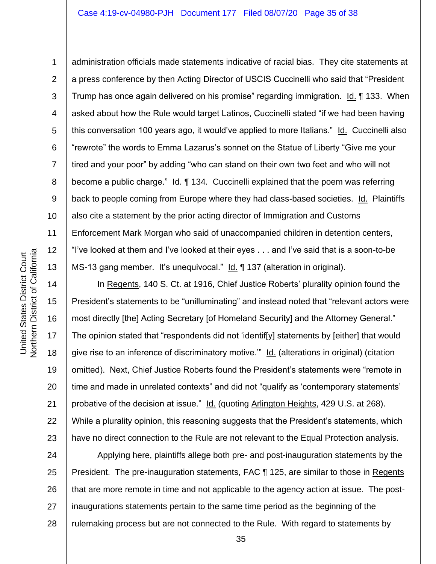1

4 6 7 8 12 13 administration officials made statements indicative of racial bias. They cite statements at a press conference by then Acting Director of USCIS Cuccinelli who said that "President Trump has once again delivered on his promise" regarding immigration. Id. ¶ 133. When asked about how the Rule would target Latinos, Cuccinelli stated "if we had been having this conversation 100 years ago, it would've applied to more Italians." Id. Cuccinelli also "rewrote" the words to Emma Lazarus's sonnet on the Statue of Liberty "Give me your tired and your poor" by adding "who can stand on their own two feet and who will not become a public charge." Id. ¶ 134. Cuccinelli explained that the poem was referring back to people coming from Europe where they had class-based societies. Id. Plaintiffs also cite a statement by the prior acting director of Immigration and Customs Enforcement Mark Morgan who said of unaccompanied children in detention centers, "I've looked at them and I've looked at their eyes . . . and I've said that is a soon-to-be MS-13 gang member. It's unequivocal." Id. ¶ 137 (alteration in original).

In Regents, 140 S. Ct. at 1916, Chief Justice Roberts' plurality opinion found the President's statements to be "unilluminating" and instead noted that "relevant actors were most directly [the] Acting Secretary [of Homeland Security] and the Attorney General." The opinion stated that "respondents did not 'identif[y] statements by [either] that would give rise to an inference of discriminatory motive.'" Id. (alterations in original) (citation omitted). Next, Chief Justice Roberts found the President's statements were "remote in time and made in unrelated contexts" and did not "qualify as 'contemporary statements' probative of the decision at issue." Id. (quoting Arlington Heights, 429 U.S. at 268). While a plurality opinion, this reasoning suggests that the President's statements, which have no direct connection to the Rule are not relevant to the Equal Protection analysis.

24 25 26 27 28 Applying here, plaintiffs allege both pre- and post-inauguration statements by the President. The pre-inauguration statements, FAC ¶ 125, are similar to those in Regents that are more remote in time and not applicable to the agency action at issue. The postinaugurations statements pertain to the same time period as the beginning of the rulemaking process but are not connected to the Rule. With regard to statements by

14

15

16

17

18

19

20

21

22

23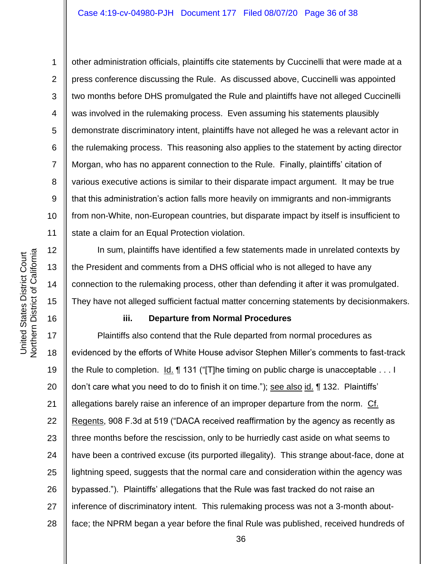12

13

14

15

16

1

10 11 other administration officials, plaintiffs cite statements by Cuccinelli that were made at a press conference discussing the Rule. As discussed above, Cuccinelli was appointed two months before DHS promulgated the Rule and plaintiffs have not alleged Cuccinelli was involved in the rulemaking process. Even assuming his statements plausibly demonstrate discriminatory intent, plaintiffs have not alleged he was a relevant actor in the rulemaking process. This reasoning also applies to the statement by acting director Morgan, who has no apparent connection to the Rule. Finally, plaintiffs' citation of various executive actions is similar to their disparate impact argument. It may be true that this administration's action falls more heavily on immigrants and non-immigrants from non-White, non-European countries, but disparate impact by itself is insufficient to state a claim for an Equal Protection violation.

In sum, plaintiffs have identified a few statements made in unrelated contexts by the President and comments from a DHS official who is not alleged to have any connection to the rulemaking process, other than defending it after it was promulgated. They have not alleged sufficient factual matter concerning statements by decisionmakers.

## **iii. Departure from Normal Procedures**

17 18 19 20 21 22 23 24 25 26 27 28 Plaintiffs also contend that the Rule departed from normal procedures as evidenced by the efforts of White House advisor Stephen Miller's comments to fast-track the Rule to completion. Id. ¶ 131 ("[T]he timing on public charge is unacceptable . . . I don't care what you need to do to finish it on time."); see also id. 1 132. Plaintiffs' allegations barely raise an inference of an improper departure from the norm. Cf. Regents, 908 F.3d at 519 ("DACA received reaffirmation by the agency as recently as three months before the rescission, only to be hurriedly cast aside on what seems to have been a contrived excuse (its purported illegality). This strange about-face, done at lightning speed, suggests that the normal care and consideration within the agency was bypassed."). Plaintiffs' allegations that the Rule was fast tracked do not raise an inference of discriminatory intent. This rulemaking process was not a 3-month aboutface; the NPRM began a year before the final Rule was published, received hundreds of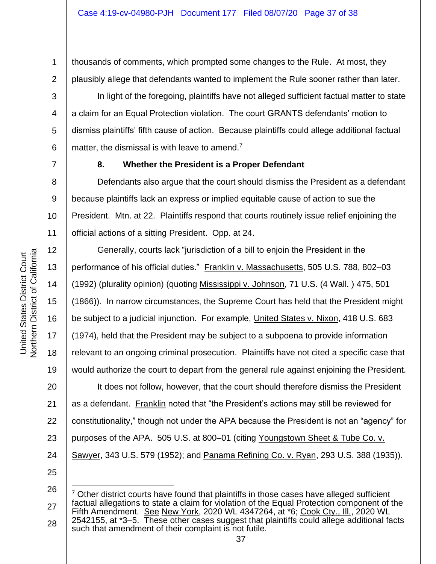thousands of comments, which prompted some changes to the Rule. At most, they plausibly allege that defendants wanted to implement the Rule sooner rather than later.

In light of the foregoing, plaintiffs have not alleged sufficient factual matter to state a claim for an Equal Protection violation. The court GRANTS defendants' motion to dismiss plaintiffs' fifth cause of action. Because plaintiffs could allege additional factual matter, the dismissal is with leave to amend.<sup>7</sup>

1

2

3

4

5

6

7

8

9

11

# **8. Whether the President is a Proper Defendant**

10 Defendants also argue that the court should dismiss the President as a defendant because plaintiffs lack an express or implied equitable cause of action to sue the President. Mtn. at 22. Plaintiffs respond that courts routinely issue relief enjoining the official actions of a sitting President. Opp. at 24.

12 13 14 15 16 17 18 19 20 21 22 23 24 Generally, courts lack "jurisdiction of a bill to enjoin the President in the performance of his official duties." Franklin v. Massachusetts, 505 U.S. 788, 802–03 (1992) (plurality opinion) (quoting Mississippi v. Johnson, 71 U.S. (4 Wall. ) 475, 501 (1866)). In narrow circumstances, the Supreme Court has held that the President might be subject to a judicial injunction. For example, United States v. Nixon, 418 U.S. 683 (1974), held that the President may be subject to a subpoena to provide information relevant to an ongoing criminal prosecution. Plaintiffs have not cited a specific case that would authorize the court to depart from the general rule against enjoining the President. It does not follow, however, that the court should therefore dismiss the President as a defendant. Franklin noted that "the President's actions may still be reviewed for constitutionality," though not under the APA because the President is not an "agency" for purposes of the APA. 505 U.S. at 800–01 (citing Youngstown Sheet & Tube Co. v. Sawyer, 343 U.S. 579 (1952); and Panama Refining Co. v. Ryan, 293 U.S. 388 (1935)).

<sup>26</sup> 27 28 <sup>7</sup> Other district courts have found that plaintiffs in those cases have alleged sufficient factual allegations to state a claim for violation of the Equal Protection component of the Fifth Amendment. See New York, 2020 WL 4347264, at \*6; Cook Cty., Ill., 2020 WL 2542155, at \*3–5. These other cases suggest that plaintiffs could allege additional facts such that amendment of their complaint is not futile.